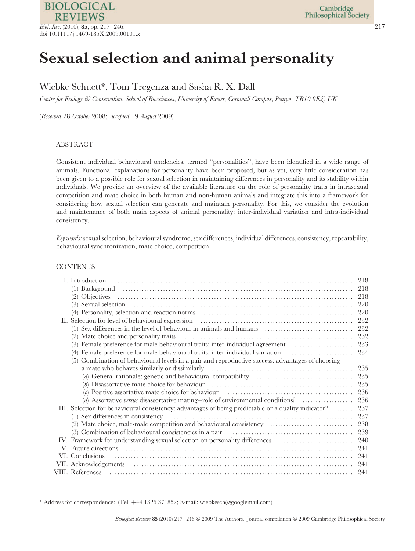# **Sexual selection and animal personality**

## Wiebke Schuett\*, Tom Tregenza and Sasha R. X. Dall

*Centre for Ecology & Conservation, School of Biosciences, University of Exeter, Cornwall Campus, Penryn, TR10 9EZ, UK*

(*Received* 28 *October* 2008; *accepted* 19 *August* 2009)

## ABSTRACT

Consistent individual behavioural tendencies, termed ''personalities'', have been identified in a wide range of animals. Functional explanations for personality have been proposed, but as yet, very little consideration has been given to a possible role for sexual selection in maintaining differences in personality and its stability within individuals. We provide an overview of the available literature on the role of personality traits in intrasexual competition and mate choice in both human and non-human animals and integrate this into a framework for considering how sexual selection can generate and maintain personality. For this, we consider the evolution and maintenance of both main aspects of animal personality: inter-individual variation and intra-individual consistency.

*Key words:* sexual selection, behavioural syndrome, sex differences, individual differences, consistency, repeatability, behavioural synchronization, mate choice, competition.

## **CONTENTS**

| I. Introduction                                                                                                               | 218  |
|-------------------------------------------------------------------------------------------------------------------------------|------|
|                                                                                                                               | 218  |
|                                                                                                                               | 218  |
|                                                                                                                               | 220  |
|                                                                                                                               | 220  |
|                                                                                                                               | 232  |
| (1) Sex differences in the level of behaviour in animals and humans $\dots\dots\dots\dots\dots\dots\dots\dots\dots\dots\dots$ | 232  |
| (2)                                                                                                                           | 232  |
| (3)                                                                                                                           |      |
| Female preference for male behavioural traits: inter-individual variation<br>(4)                                              | 234  |
| Combination of behavioural levels in a pair and reproductive success: advantages of choosing<br>(5)                           |      |
|                                                                                                                               | 235  |
|                                                                                                                               | 235  |
| (b)                                                                                                                           | 235  |
|                                                                                                                               | 236  |
| (d) Assortative versus disassortative mating-role of environmental conditions?                                                | 236  |
| III. Selection for behavioural consistency: advantages of being predictable or a quality indicator?                           | 237  |
|                                                                                                                               | 237  |
| (2) Mate choice, male-male competition and behavioural consistency                                                            | -238 |
|                                                                                                                               | 239  |
|                                                                                                                               |      |
| V. Future directions                                                                                                          | 241  |
|                                                                                                                               | 241  |
| VII. Acknowledgements                                                                                                         | 241  |
|                                                                                                                               | 241  |

<sup>∗</sup> Address for correspondence: (Tel: +44 1326 371852; E-mail: wiebkesch@googlemail.com)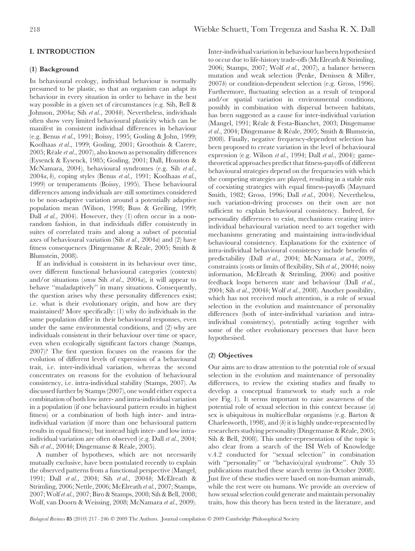## **I. INTRODUCTION**

## **(1) Background**

In behavioural ecology, individual behaviour is normally presumed to be plastic, so that an organism can adapt its behaviour in every situation in order to behave in the best way possible in a given set of circumstances (e.g. Sih, Bell & Johnson, 2004*a*; Sih *et al*., 2004*b*). Nevertheless, individuals often show very limited behavioural plasticity which can be manifest in consistent individual differences in behaviour (e.g. Benus *et al*., 1991; Boissy, 1995; Gosling & John, 1999; Koolhaas *et al*., 1999; Gosling, 2001; Groothuis & Carere, 2005; Réale et al., 2007), also known as personality differences (Eysenck & Eysenck, 1985; Gosling, 2001; Dall, Houston & McNamara, 2004), behavioural syndromes (e.g. Sih *et al*., 2004*a*, *b*), coping styles (Benus *et al*., 1991; Koolhaas *et al*., 1999) or temperaments (Boissy, 1995). These behavioural differences among individuals are still sometimes considered to be non-adaptive variation around a potentially adaptive population mean (Wilson, 1998; Buss & Greiling, 1999; Dall *et al*., 2004). However, they (1) often occur in a nonrandom fashion, in that individuals differ consistently in suites of correlated traits and along a subset of potential axes of behavioural variation (Sih *et al*., 2004*a*) and (2) have fitness consequences (Dingemanse & Reale, 2005; Smith & ´ Blumstein, 2008).

If an individual is consistent in its behaviour over time, over different functional behavioural categories (contexts) and/or situations (*sensu* Sih *et al*., 2004*a*), it will appear to behave ''maladaptively'' in many situations. Consequently, the question arises why these personality differences exist; i.e. what is their evolutionary origin, and how are they maintained? More specifically: (1) why do individuals in the same population differ in their behavioural responses, even under the same environmental conditions, and (2) why are individuals consistent in their behaviour over time or space, even when ecologically significant factors change (Stamps, 2007)? The first question focuses on the reasons for the evolution of different levels of expression of a behavioural trait, i.e. inter-individual variation, whereas the second concentrates on reasons for the evolution of behavioural consistency, i.e. intra-individual stability (Stamps, 2007). As discussed further by Stamps (2007), one would either expect a combination of both low inter- and intra-individual variation in a population (if one behavioural pattern results in highest fitness) or a combination of both high inter- and intraindividual variation (if more than one behavioural pattern results in equal fitness); but instead high inter- and low intraindividual variation are often observed (e.g. Dall *et al*., 2004; Sih *et al.*, 2004*b*; Dingemanse & Réale, 2005).

A number of hypotheses, which are not necessarily mutually exclusive, have been postulated recently to explain the observed patterns from a functional perspective (Mangel, 1991; Dall *et al*., 2004; Sih *et al*., 2004*b*; McElreath & Strimling, 2006; Nettle, 2006; McElreath *et al*., 2007; Stamps, 2007; Wolf *et al*., 2007; Biro & Stamps, 2008; Sih & Bell, 2008; Wolf, van Doorn & Weissing, 2008; McNamara *et al*., 2009).

Inter-individual variation in behaviour has been hypothesised to occur due to life-history trade-offs (McElreath & Strimling, 2006; Stamps, 2007; Wolf *et al*., 2007), a balance between mutation and weak selection (Penke, Denissen & Miller, 2007*b*) or condition-dependent selection (e.g. Gross, 1996). Furthermore, fluctuating selection as a result of temporal and/or spatial variation in environmental conditions, possibly in combination with dispersal between habitats, has been suggested as a cause for inter-individual variation (Mangel, 1991; Réale & Festa-Bianchet, 2003; Dingemanse *et al*., 2004; Dingemanse & Reale, 2005; Smith & Blumstein, ´ 2008). Finally, negative frequency-dependent selection has been proposed to create variation in the level of behavioural expression (e.g. Wilson *et al*., 1994; Dall *et al*., 2004): gametheoretical approaches predict that fitness-payoffs of different behavioural strategies depend on the frequencies with which the competing strategies are played, resulting in a stable mix of coexisting strategies with equal fitness-payoffs (Maynard Smith, 1982; Gross, 1996; Dall *et al*., 2004). Nevertheless, such variation-driving processes on their own are not sufficient to explain behavioural consistency. Indeed, for personality differences to exist, mechanisms creating interindividual behavioural variation need to act together with mechanisms generating and maintaining intra-individual behavioural consistency. Explanations for the existence of intra-individual behavioural consistency include benefits of predictability (Dall *et al*., 2004; McNamara *et al*., 2009), constraints (costs or limits of flexibility, Sih *et al*., 2004*b*; noisy information, McElreath & Strimling, 2006) and positive feedback loops between state and behaviour (Dall *et al*., 2004; Sih *et al*., 2004*b*; Wolf *et al*., 2008). Another possibility, which has not received much attention, is a role of sexual selection in the evolution and maintenance of personality differences (both of inter-individual variation and intraindividual consistency), potentially acting together with some of the other evolutionary processes that have been hypothesised.

## **(2) Objectives**

Our aims are to draw attention to the potential role of sexual selection in the evolution and maintenance of personality differences, to review the existing studies and finally to develop a conceptual framework to study such a role (see Fig. 1). It seems important to raise awareness of the potential role of sexual selection in this context because (*a*) sex is ubiquitous in multicellular organisms (e.g. Barton & Charlesworth, 1998), and (*b*) it is highly under-represented by researchers studying personality (Dingemanse & Réale, 2005; Sih & Bell, 2008). This under-representation of the topic is also clear from a search of the ISI Web of Knowledge v.4.2 conducted for ''sexual selection'' in combination with "personality" or "behavio(u)ral syndrome". Only 35 publications matched these search terms (in October 2008). Just five of these studies were based on non-human animals, while the rest were on humans. We provide an overview of how sexual selection could generate and maintain personality traits, how this theory has been tested in the literature, and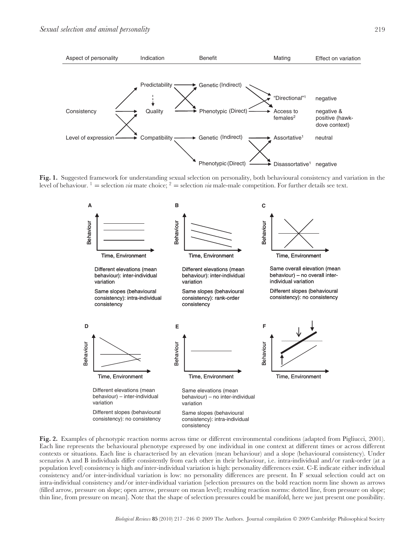

**Fig. 1.** Suggested framework for understanding sexual selection on personality, both behavioural consistency and variation in the level of behaviour.  $1 =$  selection *via* mate choice;  $2 =$  selection *via* male-male competition. For further details see text.



**Fig. 2.** Examples of phenotypic reaction norms across time or different environmental conditions (adapted from Pigliucci, 2001). Each line represents the behavioural phenotype expressed by one individual in one context at different times or across different contexts or situations. Each line is characterised by an elevation (mean behaviour) and a slope (behavioural consistency). Under scenarios A and B individuals differ consistently from each other in their behaviour, i.e. intra-individual and/or rank-order (at a population level) consistency is high *and* inter-individual variation is high: personality differences exist. C-E indicate either individual consistency and/or inter-individual variation is low: no personality differences are present. In F sexual selection could act on intra-individual consistency and/or inter-individual variation [selection pressures on the bold reaction norm line shown as arrows (filled arrow, pressure on slope; open arrow, pressure on mean level); resulting reaction norms: dotted line, from pressure on slope; thin line, from pressure on mean]. Note that the shape of selection pressures could be manifold, here we just present one possibility.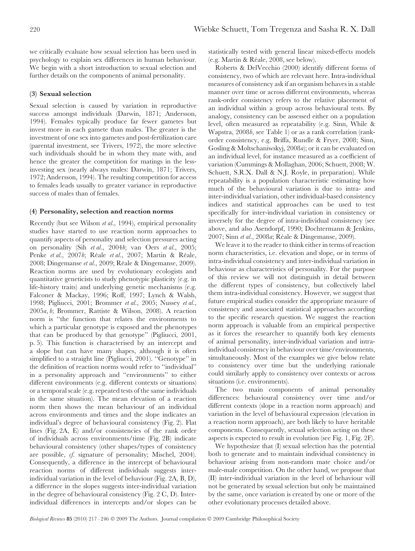we critically evaluate how sexual selection has been used in psychology to explain sex differences in human behaviour. We begin with a short introduction to sexual selection and further details on the components of animal personality.

## **(3) Sexual selection**

Sexual selection is caused by variation in reproductive success amongst individuals (Darwin, 1871; Andersson, 1994). Females typically produce far fewer gametes but invest more in each gamete than males. The greater is the investment of one sex into gametes and post-fertilization care (parental investment, see Trivers, 1972), the more selective such individuals should be in whom they mate with, and hence the greater the competition for matings in the lessinvesting sex (nearly always males: Darwin, 1871; Trivers, 1972; Andersson, 1994). The resulting competition for access to females leads usually to greater variance in reproductive success of males than of females.

## **(4) Personality, selection and reaction norms**

Recently (but see Wilson *et al*., 1994), empirical personality studies have started to use reaction norm approaches to quantify aspects of personality and selection pressures acting on personality (Sih *et al*., 2004*b*; van Oers *et al*., 2005; Penke *et al.*, 2007*b*; Réale *et al.*, 2007; Martin & Réale, 2008; Dingemanse *et al*., 2009; Reale & Dingemanse, 2009). ´ Reaction norms are used by evolutionary ecologists and quantitative geneticists to study phenotypic plasticity (e.g. in life-history traits) and underlying genetic mechanisms (e.g. Falconer & Mackay, 1996; Roff, 1997; Lynch & Walsh, 1998; Pigliucci, 2001; Brommer *et al*., 2005; Nussey *et al*., 2005*a*, *b*; Brommer, Rattiste & Wilson, 2008). A reaction norm is ''the function that relates the environments to which a particular genotype is exposed and the phenotypes that can be produced by that genotype'' (Pigliucci, 2001, p. 5). This function is characterised by an intercept and a slope but can have many shapes, although it is often simplified to a straight line (Pigliucci, 2001). ''Genotype'' in the definition of reaction norms would refer to ''individual'' in a personality approach and ''environments'' to either different environments (e.g. different contexts or situations) or a temporal scale (e.g. repeated tests of the same individuals in the same situation). The mean elevation of a reaction norm then shows the mean behaviour of an individual across environments and times and the slope indicates an individual's degree of behavioural consistency (Fig. 2). Flat lines (Fig. 2A, E) and/or consistencies of the rank order of individuals across environments/time (Fig. 2B) indicate behavioural consistency (other shapes/types of consistency are possible, *cf.* signature of personality; Mischel, 2004). Consequently, a difference in the intercept of behavioural reaction norms of different individuals suggests interindividual variation in the level of behaviour (Fig. 2A, B, D), a difference in the slopes suggests inter-individual variation in the degree of behavioural consistency (Fig. 2 C, D). Interindividual differences in intercepts and/or slopes can be

statistically tested with general linear mixed-effects models  $(e.g. Martin & Réale, 2008, see below).$ 

Roberts & DelVecchio (2000) identify different forms of consistency, two of which are relevant here. Intra-individual measures of consistency ask if an organism behaves in a stable manner over time or across different environments, whereas rank-order consistency refers to the relative placement of an individual within a group across behavioural tests. By analogy, consistency can be assessed either on a population level, often measured as repeatability (e.g. Sinn, While & Wapstra, 2008*b*, see Table 1) or as a rank correlation (rankorder consistency, e.g. Briffa, Rundle & Fryer, 2008; Sinn, Gosling & Moltschaniwskyj, 2008*a*); or it can be evaluated on an individual level, for instance measured as a coefficient of variation (Cummings & Mollaghan, 2006; Schuett, 2008; W. Schuett, S.R.X. Dall & N.J. Royle, in preparation). While repeatability is a population characteristic estimating how much of the behavioural variation is due to intra- and inter-individual variation, other individual-based consistency indices and statistical approaches can be used to test specifically for inter-individual variation in consistency or inversely for the degree of intra-individual consistency (see above, and also Asendorpf, 1990; Dochtermann & Jenkins, 2007; Sinn *et al*., 2008*a*; Reale & Dingemanse, 2009). ´

We leave it to the reader to think either in terms of reaction norm characteristics, i.e. elevation and slope, or in terms of intra-individual consistency and inter-individual variation in behaviour as characteristics of personality. For the purpose of this review we will not distinguish in detail between the different types of consistency, but collectively label them intra-individual consistency. However, we suggest that future empirical studies consider the appropriate measure of consistency and associated statistical approaches according to the specific research question. We suggest the reaction norm approach is valuable from an empirical perspective as it forces the researcher to quantify both key elements of animal personality, inter-individual variation and intraindividual consistency in behaviour over time/environments, simultaneously. Most of the examples we give below relate to consistency over time but the underlying rationale could similarly apply to consistency over contexts or across situations (i.e. environments).

The two main components of animal personality differences: behavioural consistency over time and/or different contexts (slope in a reaction norm approach) and variation in the level of behavioural expression (elevation in a reaction norm approach), are both likely to have heritable components. Consequently, sexual selection acting on these aspects is expected to result in evolution (see Fig. 1, Fig. 2F).

We hypothesize that (I) sexual selection has the potential both to generate and to maintain individual consistency in behaviour arising from non-random mate choice and/or male-male competition. On the other hand, we propose that (II) inter-individual variation in the level of behaviour will not be generated by sexual selection but only be maintained by the same, once variation is created by one or more of the other evolutionary processes detailed above.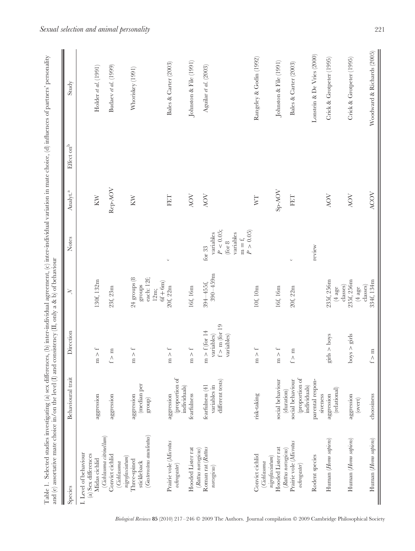| í                        |                          |
|--------------------------|--------------------------|
|                          |                          |
|                          |                          |
| .<br>S                   |                          |
| č                        |                          |
|                          |                          |
|                          |                          |
|                          |                          |
|                          |                          |
|                          |                          |
|                          |                          |
|                          |                          |
|                          |                          |
|                          |                          |
|                          |                          |
|                          |                          |
|                          |                          |
|                          |                          |
|                          |                          |
|                          |                          |
|                          |                          |
|                          |                          |
| J<br>Ì                   |                          |
|                          |                          |
| $\frac{1}{2}$            |                          |
|                          |                          |
|                          |                          |
|                          |                          |
| J                        |                          |
|                          |                          |
|                          |                          |
|                          | Î                        |
| ļ                        |                          |
|                          |                          |
|                          |                          |
|                          |                          |
| j                        |                          |
| j<br>j<br>J              | $\tilde{a}$              |
| I<br>i                   | l                        |
| cov                      | $\ddot{\phantom{a}}$     |
| ¢                        |                          |
| j                        |                          |
|                          |                          |
| j<br>)<br>j              |                          |
| てくら こうこう                 |                          |
|                          | ł                        |
| .<br>.<br>.              |                          |
|                          | $+0$ tiving the $\alpha$ |
| $\frac{1}{2}$            |                          |
|                          |                          |
|                          | ていこ                      |
|                          | ¢<br>l                   |
| $\overline{\phantom{a}}$ | į                        |
| ¢                        | Ş                        |

| Species                                      | Behavioural trait                                   | Direction                                                                    | $\leq$                        | Notes                                       | Analyt. <sup>a</sup>                    | Effect on <sup>b</sup> | Study                      |
|----------------------------------------------|-----------------------------------------------------|------------------------------------------------------------------------------|-------------------------------|---------------------------------------------|-----------------------------------------|------------------------|----------------------------|
| I. Level of behaviour<br>(a) Sex differences |                                                     |                                                                              |                               |                                             |                                         |                        |                            |
| (Cichlasoma citrinellum)<br>Midas cichlid    | aggression                                          | $\begin{array}{c}\n\uparrow \\ \uparrow\n\end{array}$<br>$\Xi$               | 130f, 132m                    |                                             | KW                                      |                        | Holder et al. $(1991)$     |
| Convict cichlid                              | aggression                                          | $\mathbf{f} > \mathbf{m}$                                                    | 23f, 23m                      |                                             | Rep-AOV                                 |                        | Budaev et al. (1999)       |
| nigrofasciatum)<br>(Cichlasoma               |                                                     |                                                                              |                               |                                             |                                         |                        |                            |
| Three-spined                                 | aggression                                          | $\stackrel{\leftarrow}{\wedge}$<br>$\Xi$                                     | $24$ groups $(8$              |                                             | $\mathop{\rm KN}\nolimits$              |                        | Whoriskey (1991)           |
| (Gasterosteus auculeatus)<br>stickleback     | (median per<br>group)                               |                                                                              | each: 12f;<br>groups          |                                             |                                         |                        |                            |
|                                              |                                                     |                                                                              | $6f + 6m$<br>$12m$ ;          |                                             |                                         |                        |                            |
| Prairie vole (Microtus                       | aggression                                          | $\frac{1}{\lambda}$<br>$\Xi$                                                 | 20f, 22m                      | $\circ$                                     | FET                                     |                        | Bales & Carter (2003)      |
| ochrogaster)                                 | (proportion of<br>individuals)                      |                                                                              |                               |                                             |                                         |                        |                            |
| Hooded Lister rat                            | fearfulness                                         | $\rightarrow \atop \wedge$<br>$\Xi$                                          | 16f, 16m                      |                                             | <b>AOV</b>                              |                        | Johnston & File (1991)     |
| (Rattus norvegicus)                          |                                                     |                                                                              |                               |                                             |                                         |                        |                            |
| Roman rat (Rattus<br>norvegicus)             | different tests)<br>fearfulness (41<br>variables in | $\rm{f} > m$ (for $19$<br>$>$ f (for 14<br>variables)<br>variables)<br>$\Xi$ | $390 - 459m$<br>$394 - 455f$  | P < 0.05;<br>variables<br>for 8<br>for $33$ | <b>AOV</b>                              |                        | Aguilar et al. (2003)      |
|                                              |                                                     |                                                                              |                               | P > 0.05<br>variables<br>$m = f$ ,          |                                         |                        |                            |
| Convict cichlid<br>(Cichlasoma               | risk-taking                                         | $\begin{array}{c}\n\uparrow \\ \uparrow\n\end{array}$<br>$\Xi$               | 10f, 10m                      |                                             | $\mathbb{V}\mathbb{T}$                  |                        | Rangeley & Godin (1992)    |
| nigrofasciatum)                              |                                                     |                                                                              |                               |                                             |                                         |                        |                            |
| Hooded Lister rat<br>(Rattus norvegicus)     | social behaviour<br>(duration)                      | $\frac{1}{\lambda}$<br>$\Xi$                                                 | 16f, 16m                      |                                             | $\ensuremath{\mathrm{Sp-}\mathrm{AOV}}$ |                        | Johnston & File (1991)     |
| Prairie vole (Microtus                       | social behaviour                                    | $\mathbf{f} > \mathbf{m}$                                                    | 20f, 22m                      | $\circ$                                     | FET                                     |                        | Bales & Carter (2003)      |
| ochrogaster)                                 | (proportion of<br>individuals)                      |                                                                              |                               |                                             |                                         |                        |                            |
| Rodent species                               | parental respon-<br>siveness                        |                                                                              |                               | review                                      |                                         |                        | Lonstein & De Vries (2000) |
| Human (Homo sapiens)                         | aggression                                          | $grils >$ boys                                                               | 235f, 256m                    |                                             | <b>AOV</b>                              |                        | Crick & Grotpeter (1995)   |
|                                              | (relational)                                        |                                                                              | classes)<br>$(4 \text{ age})$ |                                             |                                         |                        |                            |
| Human (Homo sapiens)                         | aggression                                          | boys > girls                                                                 | 235f, 256m                    |                                             | <b>AOV</b>                              |                        | Crick & Grotpeter (1995)   |
|                                              | (overt)                                             |                                                                              | classes)<br>$(4 \text{ age})$ |                                             |                                         |                        |                            |
| Human (Homo sapiens)                         | choosiness                                          | $\mathbf{f} > \mathbf{m}$                                                    | 334f, 134m                    |                                             | <b>ACOV</b>                             |                        | Woodward & Richards (2005) |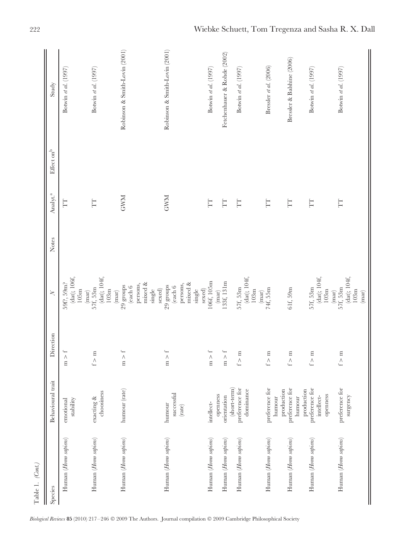| Table 1. (Cont.)     |                                          |                                               |                                                                               |       |                      |                        |                               |
|----------------------|------------------------------------------|-----------------------------------------------|-------------------------------------------------------------------------------|-------|----------------------|------------------------|-------------------------------|
| Species              | Behavioural trait                        | Direction                                     | $\lt$                                                                         | Notes | Analyt. <sup>a</sup> | Effect on <sup>b</sup> | Study                         |
| Human (Homo sapiens) | stability<br>emotional                   | $\frac{4}{\Lambda}$<br>$\Xi$                  | (dat); 106f,<br>59f?, 59m?<br>105m                                            |       | H                    |                        | Botwin et al. $(1997)$        |
| Human (Homo sapiens) | choosiness<br>exacting $\&$              | $\Xi$<br>$\stackrel{\wedge}{\mapsto}$         | (dat); 104f,<br>$57f,53m$<br>103m<br>(max)                                    |       | $\Gamma\Gamma$       |                        | Botwin et al. (1997)          |
| Human (Homo sapiens) | humour (rate)                            | $\frac{1}{\lambda}$<br>$\Xi$                  | $mixed \&$<br>persons,<br>29 groups<br>(each $6$<br>sexed)<br>single<br>(max) |       | <b>GWM</b>           |                        | Robinson & Smith-Lovin (2001) |
| Human (Homo sapiens) | successful<br>humour<br>(rate)           | $\frac{4}{\Lambda}$<br>$\Xi$                  | mixed &<br>persons,<br>29 groups<br>(each 6<br>single<br>$\,\mathrm{sexd}$    |       | <b>GWM</b>           |                        | Robinson & Smith-Lovin (2001) |
| Human (Homo sapiens) | openness<br>intellect-                   | $\frac{1}{\lambda}$<br>$\Xi$                  | 106f, 105m<br>(max)                                                           |       | E                    |                        | Botwin et al. $(1997)$        |
| Human (Homo sapiens) | (short-term)<br>orientation              | $\stackrel{\leftarrow}{\wedge}$<br>$\Xi$      | 133f, 131m                                                                    |       | $\Gamma\Gamma$       |                        | Fetchenhauer & Rohde (2002)   |
| Human (Homo sapiens) | preference for<br>dominance              | $\Xi$<br>$\stackrel{\wedge}{\mapsto}$         | (dat); 104f,<br>57f, 53m<br>103m<br>(mar)                                     |       | H                    |                        | Botwin et al. (1997)          |
| Human (Homo sapiens) | preference for<br>production<br>humour   | $\Xi$<br>$\stackrel{\wedge}{\textbf{f}}$      | 74f, 55m                                                                      |       | E                    |                        | Bressler et al. (2006)        |
| Human (Homo sapiens) | preference for<br>production<br>humour   | Ξ<br>$\widetilde{\uparrow}$                   | 61f, 59m                                                                      |       | $\Gamma\Gamma$       |                        | Bressler & Balshine (2006)    |
| Human (Homo sapiens) | preference for<br>openness<br>intellect- | $\Xi$<br>$\stackrel{\wedge}{\text{\tiny{+}}}$ | (dat); 104f,<br>57f, 53m<br>103m<br>(mar)                                     |       | $\Gamma\Gamma$       |                        | Botwin et al. (1997)          |
| Human (Homo sapiens) | preference for<br>surgency               | $\Xi$<br>$\stackrel{\wedge}{\leftarrow}$      | (dat); 104f,<br>57f, 53m<br>103m<br>$({\rm max})$                             |       | $\Gamma\Gamma$       |                        | Botwin et al. (1997)          |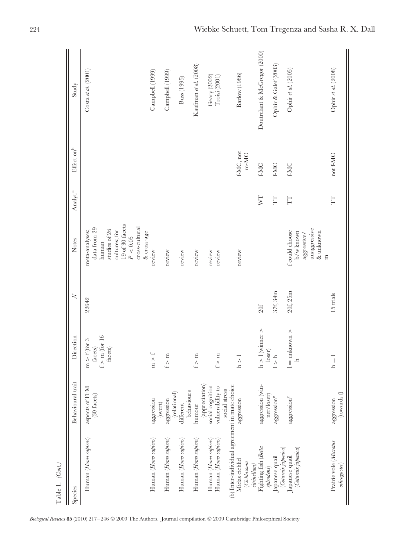| Table 1. (Cont.)                                                                              |                                                                         |                                                                |           |                                                                                                                                             |                      |                        |                               |
|-----------------------------------------------------------------------------------------------|-------------------------------------------------------------------------|----------------------------------------------------------------|-----------|---------------------------------------------------------------------------------------------------------------------------------------------|----------------------|------------------------|-------------------------------|
| Species                                                                                       | Behavioural trait                                                       | Direction                                                      | $\lt$     | Notes                                                                                                                                       | Analyt. <sup>a</sup> | Effect on <sup>b</sup> | Study                         |
| Human (Homo sapiens)                                                                          | aspects of FFM<br>$(30$ facets)                                         | $\rm{f}$ $>$ m (for 16<br>$m>f$ (for $3$<br>facets)<br>facets) | 22642     | 19 of 30 facets<br>cross-cultural<br>data from 29<br>studies of 26<br>cultures; for<br>meta-analyses;<br>& cross-age<br>$P < 0.05$<br>human |                      |                        | Costa et al. $(2001)$         |
| Human (Homo sapiens)                                                                          | aggression<br>(overt)                                                   | $m > f$                                                        |           | review                                                                                                                                      |                      |                        | Campbell (1999)               |
| Human (Homo sapiens)                                                                          | (relational)<br>aggression                                              | $\Xi$<br>$\stackrel{\wedge}{\scriptstyle\rightarrow}$          |           | review                                                                                                                                      |                      |                        | Campbell (1999)               |
| $\mbox{Human}\left( Homo \; \mbox{sapiens} \right)$                                           | behaviours<br>different                                                 |                                                                |           | review                                                                                                                                      |                      |                        | Buss (1995)                   |
| $\mbox{Human}\left(Homo\, \emph{sapiens}\right)$                                              | humour                                                                  | E<br>$\frac{1}{\sqrt{2}}$                                      |           | review                                                                                                                                      |                      |                        | Kaufman et al. (2008)         |
| Human (Homo sapiens)<br>Human (Homo sapiens)                                                  | (appreciation)<br>social cognition<br>vulnerability to<br>social stress | $\Xi$<br>$\stackrel{\wedge}{\leftarrow}$                       |           | review<br>review                                                                                                                            |                      |                        | Geary (2002)<br>Troisi (2001) |
| (b) Inter-individual agreement in mate choice<br>Midas cichlid<br>(Cichlasoma<br>citrinellum) | aggression                                                              | $\mathop{\wedge}\limits_{\mathop{\mathsf{L}}}$                 |           | review                                                                                                                                      |                      | f-MC, not<br>$m-MC$    | Barlow (1986)                 |
| Fighting fish (Betta<br>splendens)                                                            | aggression (win-<br>ner/loser)                                          | $h > 1$ (winner $>$<br>$_{\text{loser}}$                       | 20f       |                                                                                                                                             | $\sum$               | <b>F-MC</b>            | Doutrelant & McGregor (2000)  |
| $(Continix)$ aponica $)$<br>Japanese quail                                                    | aggression <sup>e</sup>                                                 | l > h                                                          | 37f, 34m  |                                                                                                                                             | E                    | <b>FMC</b>             | Ophir & Galef (2003)          |
| (Coturnix japonica)<br>Japanese quail                                                         | aggression <sup>e</sup>                                                 | $l =$ unknown $>$<br>$\overline{a}$                            | 20f, 25m  | unaggressive<br>f could choose<br>$\&$ unknown<br>$b/w$ known<br>aggressive/<br>$\Xi$                                                       | $\Gamma\Gamma$       | <b>EMC</b>             | Ophir et al. (2005)           |
| Prairie vole (Microtus<br>ochragaster                                                         | (towards f)<br>aggression                                               | $h = 1$                                                        | 15 trials |                                                                                                                                             | Ë                    | not f-MC               | Ophir et al. (2008)           |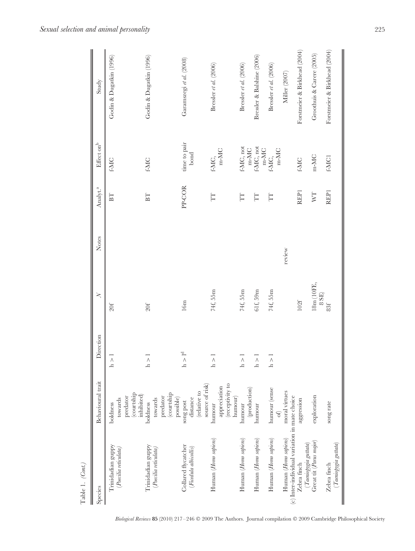| Table 1. (Cont.)                                                      |                                                             |                                                 |                            |        |                      |                        |                              |
|-----------------------------------------------------------------------|-------------------------------------------------------------|-------------------------------------------------|----------------------------|--------|----------------------|------------------------|------------------------------|
| Species                                                               | Behavioural trait                                           | Direction                                       | $\lesssim$                 | Notes  | Analyt. <sup>a</sup> | Effect on <sup>b</sup> | Study                        |
| Trinidadian guppy<br>(Poecilia reticulata)                            | (courtship<br>inhibited)<br>predator<br>towards<br>boldness | $\overline{\wedge}$<br>$\overline{\phantom{a}}$ | 20f                        |        | BT                   | <b>FMC</b>             | Godin & Dugatkin (1996)      |
| Trinidadian guppy<br>(Poecilia reticulata)                            | (courtship<br>predator<br>possible)<br>towards<br>boldness  | $\overline{\wedge}$<br>$\overline{\phantom{a}}$ | 20f                        |        | BT                   | FMC                    | Godin & Dugatkin (1996)      |
| Collared flycatcher<br>(Ficedula albicollis)                          | source of risk)<br>(relative to<br>distance<br>song post    | $\sum_{\lambda}^{\text{d}}$<br>$\overline{a}$   | 16m                        |        | PP-COR               | time to pair<br>bond   | Garamszegi et al. (2008)     |
| Human (Homo sapiens)                                                  | (receptivity to<br>appreciation<br>humour)<br>humour        | $\overline{\wedge}$<br>$\overline{\phantom{a}}$ | 74f, 55m                   |        | Ë                    | $m-MC$<br>f-MC,        | Bressler et al. (2006)       |
| Human (Homo sapiens)                                                  | (production)<br>humour                                      | $\overline{\wedge}$<br>$\mathbf{r}$             | 74f, 55m                   |        | H                    | f-MC, not<br>$m-MC$    | Bressler et al. (2006)       |
| Human (Homo sapiens)                                                  | humour                                                      | $\overline{\wedge}$<br>$\overline{a}$           | 61f, 59m                   |        | E                    | f-MC, not<br>m-MC      | Bressler & Balshine (2006)   |
| Human (Homo sapiens)                                                  | humour (sense<br>$\overline{5}$                             | $\overline{\wedge}$<br>$\overline{a}$           | 74f, 55m                   |        | FT                   | $m-MC$<br>f-MC,        | Bressler et al. (2006)       |
| (c) Inter-individual variation in mate choice<br>Human (Homo sapiens) | moral virtues                                               |                                                 |                            | review |                      |                        | Miller $(2007)$              |
| $\left( T a en iopy gia\,gutata\right)$<br>Zebra finch                | aggression                                                  |                                                 | 102f                       |        | REP <sub>1</sub>     | <b>FMC</b>             | Forstmeier & Birkhead (2004) |
| Great tit (Parus major)                                               | exploration                                                 |                                                 | 18m (10FE,<br>$8$ SE) $\,$ |        | $\sum$               | $m-MC$                 | Groothuis & Carere (2005)    |
| (Taeniopygia guttata)<br>Zebra finch                                  | song rate                                                   |                                                 | 83f                        |        | REP1                 | <b>FMC1</b>            | Forstmeier & Birkhead (2004) |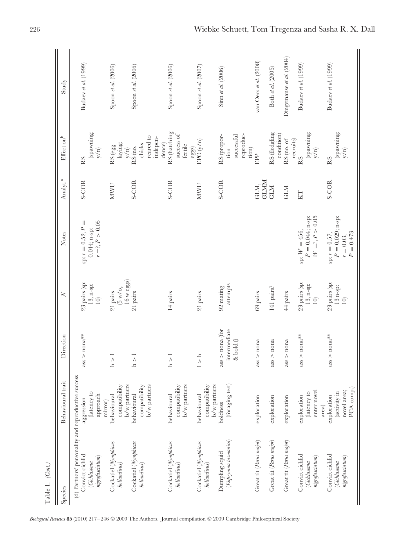| Table 1. (Cont.)                                                                                        |                                                                   |                                                   |                                            |                                                                      |                        |                                                                                                |                          |
|---------------------------------------------------------------------------------------------------------|-------------------------------------------------------------------|---------------------------------------------------|--------------------------------------------|----------------------------------------------------------------------|------------------------|------------------------------------------------------------------------------------------------|--------------------------|
| Species                                                                                                 | Behavioural trait                                                 | Direction                                         | $\asymp$                                   | Notes                                                                | Analyt. <sup>a</sup>   | Effect on <sup>b</sup>                                                                         | Study                    |
| (d) Partners' personality and reproductive success<br>Convict cichlid<br>nigrofasciatum)<br>(Cichlasoma | (latency to<br>approach<br>aggression<br>mirror)                  | $>$ nona $\ast\ast$<br>ass                        | 23 pairs (sp:<br>13, n-sp:<br>$\Xi$        | $r = ?$ , $P > 0.05$<br>$sp: r = 0.52, P =$<br>$0.044; n$ -sp:       | S-COR                  | (spawning:<br>y/n<br>R <sub>S</sub>                                                            | Budaev et al. (1999)     |
| Cockatiel (Nymphieus<br>hollandicus)                                                                    | b/w partners<br>compatibility<br>behavioural                      | $h > 1$                                           | $16 w$ eggs)<br>(5 w/o,<br>21 pairs        |                                                                      | <b>NIWU</b>            | laying:<br>$\rm RS$ (egg<br>$\ensuremath{\mathrm{y}}\xspace / \ensuremath{\mathrm{n}}\xspace)$ | Spoon et al. (2006)      |
| Cockatiel (Nymphicus<br>hollandicus)                                                                    | b/w partners<br>compatibility<br>behavioural                      | $h > 1$                                           | 21 pairs                                   |                                                                      | S-COR                  | reared to<br>indepen-<br>$dence)$<br>chicks<br>RS (no.                                         | Spoon et al. (2006)      |
| Cockatiel (Nymphicus<br>hollandicus)                                                                    | b/w partners<br>compatibility<br>behavioural                      | $h > 1$                                           | 14 pairs                                   |                                                                      | S-COR                  | RS (hatching<br>success of<br>fertile                                                          | Spoon et al. (2006)      |
| Cockatiel (Nymphicus<br>hollandicus)                                                                    | compatibility<br>b/w partners<br>behavioural                      | $\mathbf{a}$<br>$\stackrel{\wedge}{\!}$           | 21 pairs                                   |                                                                      | <b>NIWU</b>            | eggs)<br>EPC (y/n)                                                                             | Spoon et al. $(2007)$    |
| (Euprymna tasmanica)<br>Dumpling squid                                                                  | (foraging test)<br>boldness                                       | $ass$ > nona (for<br>intermediate<br>$\&$ bold f) | attempts<br>92 mating                      |                                                                      | S-COR                  | reproduc-<br>RS (propor-<br>successful<br>tion                                                 | Sinn et al. $(2006)$     |
| Great tit (Parus major)                                                                                 | exploration                                                       | $>$ nona<br>ass                                   | 69 pairs                                   |                                                                      | <b>GLMM</b><br>GLM,    | tion)<br>EPP                                                                                   | van Oers et al. (2008)   |
| Creat tit (Panus major)                                                                                 | exploration                                                       | $>$ nona<br>ass                                   | 141 pairs?                                 |                                                                      | <b>GLM</b>             | RS (fledgling<br>$\operatorname{condition}$                                                    | Both et al. $(2005)$     |
| Great tit (Parus major)                                                                                 | exploration                                                       | $>$ nona<br>ass                                   | 44 pairs                                   |                                                                      | <b>GLM</b>             | $\mathsf{RS}\xspace$ (no. of                                                                   | Dingemanse et al. (2004) |
| Convict cichlid<br>nigrofasciatum)<br>(Cichlasoma                                                       | enter novel<br>(latency to<br>exploration                         | $>$ nona $\ast\ast$<br>ass                        | 23 pairs (sp:<br>13, n-sp:<br>$\Xi$        | $W = ?$ , $P > 0.05$<br>$P=0.044;$ n-sp:<br>sp: $W = 456$ ,          | $\mathbf{K}\mathbf{T}$ | (spawning:<br>recruits)<br>y/n<br>RS                                                           | Budaev et al. (1999)     |
| Convict cichlid<br>nigrofaciatum)<br>(Cichlasoma                                                        | PCA comp.)<br>novel area;<br>(activity in<br>exploration<br>area) | $>$ nona $\ast\ast$<br>ass                        | 23 pairs (sp:<br>$13$ n-sp:<br>$\boxed{0}$ | $P = 0.029; n$ -sp:<br>$P = 0.473$<br>$spr r = 0.57,$<br>$r = 0.03,$ | S-COR                  | (spawning:<br>y/n<br>RS <sub>.</sub>                                                           | Budaev et al. (1999)     |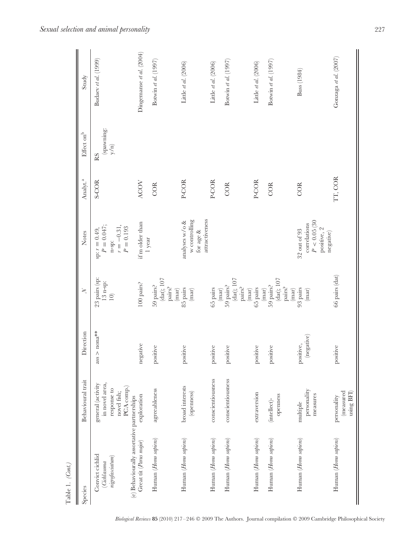| Table 1. (Cont.)                                                      |                                                                                 |                         |                                                        |                                                                                                                           |                      |                                             |                          |
|-----------------------------------------------------------------------|---------------------------------------------------------------------------------|-------------------------|--------------------------------------------------------|---------------------------------------------------------------------------------------------------------------------------|----------------------|---------------------------------------------|--------------------------|
| Species                                                               | Behavioural trait                                                               | Direction               | $\leq$                                                 | Notes                                                                                                                     | Analyt. <sup>a</sup> | Effect on <sup>b</sup>                      | Study                    |
| Convict cichlid<br>nigrofasciatum)<br>(Cichlasoma                     | in novel area,<br>general (activity<br>PCA comp.)<br>response to<br>novel fish; | $ass$ > nona**          | 23 pairs (sp:<br>$13$ n-sp:<br>$\Xi$                   | $r = -0.31,$<br>$\label{eq:ppr} \begin{array}{l} \mbox{sp:}\, r = 0.49,\\ P = 0.047; \end{array}$<br>$P = 0.193$<br>n-sp: | S-COR                | (spawning:<br>$\mathbf{y}/\mathbf{n}$<br>RS | Budaev et al. (1999)     |
| (e) Behaviourally assortative partnerships<br>Great tit (Parus major) | exploration                                                                     | negative                | 100 pairs?                                             | if m older than                                                                                                           | <b>ACOV</b>          |                                             | Dingemanse et al. (2004) |
| Human (Homo sapiens)                                                  | agreeableness                                                                   | positive                | (dat); 107<br>59 pairs?<br>pairs?<br>(max)             | l year                                                                                                                    | COR                  |                                             | Botwin et al. (1997)     |
| Human (Homo sapiens)                                                  | broad interests<br>(openness)                                                   | positive                | 85 pairs<br>(mar)                                      | attractiveness<br>w controlling<br>analyses w/o &<br>for age $\&$                                                         | P-COR                |                                             | Little et al. $(2006)$   |
| Human (Homo sapiens)                                                  | conscientiousness                                                               | positive                | 65 pairs<br>(mar)                                      |                                                                                                                           | P-COR                |                                             | Little et al. $(2006)$   |
| Human (Homo sapiens)                                                  | conscientiousness                                                               | positive                | $(dati)$ ; 107<br>59 pairs?<br>pairs?<br>$({\rm mar})$ |                                                                                                                           | COR                  |                                             | Botwin et al. $(1997)$   |
| Human (Homo sapiens)                                                  | extraversion                                                                    | positive                | $65$ pairs $\,$<br>$({\rm mar})$                       |                                                                                                                           | P-COR                |                                             | Little et al. $(2006)$   |
| Human (Homo sapiens)                                                  | openness<br>(intellect)-                                                        | positive                | (dat); 107<br>59 pairs?<br>pairs?<br>$({\rm mar})$     |                                                                                                                           | COR                  |                                             | Botwin et al. (1997)     |
| Human (Homo sapiens)                                                  | personality<br>measures<br>multiple                                             | (negative)<br>positive, | 93 pairs<br>$({\rm mar})$                              | P < 0.05(30)<br>correlations<br>positive, 2<br>32 out of 93<br>negative)                                                  | COR                  |                                             | Buss (1984)              |
| Human (Homo sapiens)                                                  | (measured<br>using BFI)<br>personality                                          | positive                | 66 pairs (dat)                                         |                                                                                                                           | TT, COR              |                                             | Gonzaga et al. (2007)    |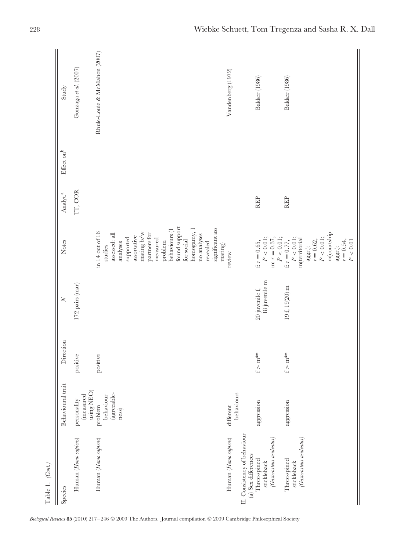| Table 1. (Cont.)                                                                                               |                                              |                                |                                 |                                                                                                                                                                                                                                                                                        |                               |                           |                              |
|----------------------------------------------------------------------------------------------------------------|----------------------------------------------|--------------------------------|---------------------------------|----------------------------------------------------------------------------------------------------------------------------------------------------------------------------------------------------------------------------------------------------------------------------------------|-------------------------------|---------------------------|------------------------------|
| Species                                                                                                        | Behavioural trait                            | Direction                      | $\lt$                           | Notes                                                                                                                                                                                                                                                                                  | $\mbox{{\sc Andyt}.}^{\rm a}$ | $\rm{Effect}$ $\rm{on}^b$ | Study                        |
| Human (Homo sapiens)                                                                                           | using NEO)<br>(measured<br>personality       | positive                       | 172 pairs (mar)                 |                                                                                                                                                                                                                                                                                        | TT, COR                       |                           | Gonzaga et al. (2007)        |
| Human (Homo sapiens)                                                                                           | (agreeable-<br>behaviour<br>problem<br>ness) | positive                       |                                 | found support<br>significant ass<br>homogamy, 1<br>behaviours (1<br>in $14$ out of $16$<br>mating b/w<br>partners for<br>no analyses<br>assessed: all<br>assortative<br>supported<br>measured<br>for social<br>problem<br>analyses<br>revealed<br>$\mathop{\mathrm{maing}}$<br>studies |                               |                           | Rhule-Louie & McMahon (2007) |
| Human (Homo sapiens)                                                                                           | behaviours<br>different                      |                                |                                 | review                                                                                                                                                                                                                                                                                 |                               |                           | Vandenberg (1972)            |
| II. Consistency of behaviour<br>(Gasterosteus aculeatus)<br>(a) Sex differences<br>Three-spined<br>stickleback | aggression                                   | $\mathbf{f} > \mathbf{m}^{**}$ | 18 juvenile m<br>20 juvenile f, | m: $r = 0.37$ ,<br>$P < 0.01;$<br>$P < 0.01$ ;<br>f: $r = 0.65$ ,                                                                                                                                                                                                                      | <b>REP</b>                    |                           | <b>Bakker</b> (1986)         |
| (Gasterosteus aculeatus)<br>Three-spined<br>stickleback                                                        | aggression                                   | $\mathbf{f} > \mathbf{m}^{**}$ | 19f, 19(20) m                   | m(courtship<br>$P < 0.01$ ;<br>$P < 0.01$ ; m<br>(territorial<br>$r = 0.54,$<br>$r = 0.62,$<br>f: $r = 0.77$ ,<br>$P < 0.01$<br>$\operatorname{aggr}.$ ):<br>aggr.):                                                                                                                   | <b>REP</b>                    |                           | <b>Bakker</b> (1986)         |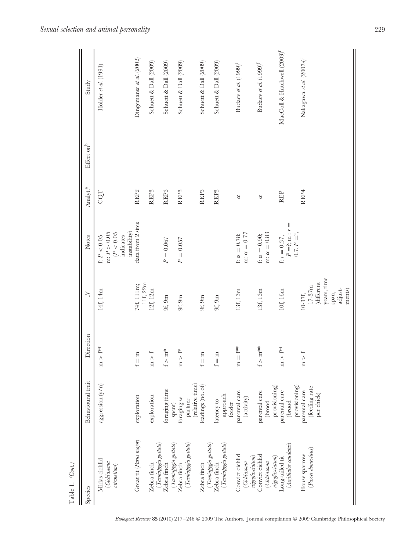| Table 1. (Cont.)                                                     |                                                           |                                                                 |                                                                                |                                                                          |                      |                        |                                      |
|----------------------------------------------------------------------|-----------------------------------------------------------|-----------------------------------------------------------------|--------------------------------------------------------------------------------|--------------------------------------------------------------------------|----------------------|------------------------|--------------------------------------|
| Species                                                              | Behavioural trait                                         | Direction                                                       | $\lt$                                                                          | Notes                                                                    | Analyt. <sup>a</sup> | Effect on <sup>b</sup> | Study                                |
| Midas cichlid<br>(Cichlasoma<br>cit inellum                          | aggression (y/n)                                          | $\mathbf{m} > \mathbf{f}^*$                                     | 14f, 14m                                                                       | instability)<br>m: $P > 0.05$<br>$(P<0.05$<br>indicates<br>f: $P < 0.05$ | CQT                  |                        | Holder et al. $(1991)$               |
| Creat tit (Parus major)                                              | exploration                                               | $\mathbf{f}=\mathbf{m}$                                         | $11f, 22m$<br>74f, 111m;                                                       | data from 2 sites                                                        | REP <sub>2</sub>     |                        | Dingemanse et al. (2002)             |
| $\label{eq:main} (Taniopy{}'_{ij} a \;{\it{gutata}})$<br>Zebra finch | exploration                                               | $\frac{1}{\lambda}$<br>E                                        | 12f, 12 $m$                                                                    |                                                                          | REP <sub>3</sub>     |                        | Schuett & Dall (2009)                |
| Zebra finch                                                          | foraging (time                                            | $\mathbf{f} > \mathbf{m}^*$                                     | $9f,9m$                                                                        | $P = 0.067$                                                              | REP <sub>3</sub>     |                        | Schuett & Dall (2009)                |
| $(Taeniopygia\,gutata)$<br>Zebra finch                               | foraging w<br>partner<br>spent)                           | $\begin{array}{c}\n\ast \\ \wedge\n\end{array}$<br>$\mathbf{m}$ | $9f,9m$                                                                        | $P = 0.057$                                                              | REP <sub>3</sub>     |                        | Schuett & Dall (2009)                |
| $(Taeniopygia\,gutata)$<br>Zebra finch                               | (relative time)<br>leadings (no. of)                      | $\mathbf{f}=\mathbf{m}$                                         | $9f,9m$                                                                        |                                                                          | REP <sub>3</sub>     |                        | Schuett & Dall (2009)                |
| (Taeniopygia guttata)<br>Zebra finch                                 | latency to                                                | $\mathbf{f}=\mathbf{m}$                                         | 9f, 9m                                                                         |                                                                          | REP <sub>3</sub>     |                        | Schuett & Dall (2009)                |
| $(Taeniopygia\,gutata)$                                              | approach<br>feeder                                        |                                                                 |                                                                                |                                                                          |                      |                        |                                      |
| Convict cichlid<br>nigrofasciatum)<br>(Cichlasoma                    | parental care<br>(activity)                               | $=\frac{1}{2}$<br>$\Xi$                                         | 13f, 13m                                                                       | m: $\alpha = 0.77$<br>f: $\alpha = 0.78$ ;                               | 8                    |                        | Budaev $et\ al.$ (1999) $^{\rm f}$   |
| Convict cichlid<br>(Cichlasoma                                       | parental care<br>(brood                                   | $f > m$ **                                                      | 13f, 13m                                                                       | m: $\alpha = 0.83$<br>f: $\alpha = 0.90$ ;                               | 8                    |                        | Budaev $et\ al.$ (1999) $^{\rm f}$   |
| (Aegithalos caudatus)<br>nigrofaciatum)<br>Long-tailed tit           | provisioning)<br>provisioning)<br>parental care<br>(brood | $\begin{array}{c}\n * \\  * \\  \wedge\n \end{array}$<br>$\Xi$  | 10f, 16m                                                                       | $P = ?; m : r =$<br>$0.7, P = ?$<br>f: $r=0.37,$                         | <b>REP</b>           |                        | MacColl & Hatchwell $(2003)^{\rm f}$ |
| (Passer domesticus)<br>House sparrow                                 | (feeding rate<br>parental care<br>per chick)              | $\frac{1}{\lambda}$<br>E                                        | years, time<br>different)<br>$17-37m$<br>adjust-<br>ments)<br>span,<br>10-37f, |                                                                          | REP <sub>4</sub>     |                        | Nakagawa et al. (2007a) <sup>f</sup> |
|                                                                      |                                                           |                                                                 |                                                                                |                                                                          |                      |                        |                                      |

Table 1.  $\left(\mathit{Cont.}\right)$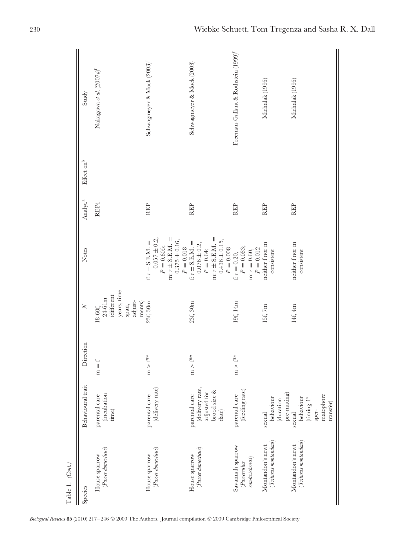| Table 1. (Cont.)                                        |                                                                                                  |                                                       |                                                                                |                                                                                                                                              |                      |                        |                                                 |
|---------------------------------------------------------|--------------------------------------------------------------------------------------------------|-------------------------------------------------------|--------------------------------------------------------------------------------|----------------------------------------------------------------------------------------------------------------------------------------------|----------------------|------------------------|-------------------------------------------------|
| Species                                                 | Behavioural trait                                                                                | Direction                                             | $\aleph$                                                                       | Notes                                                                                                                                        | Analyt. <sup>a</sup> | Effect on <sup>b</sup> | Study                                           |
| (Passer domesticus)<br>House sparrow                    | (incubation<br>parental care<br>$time)$                                                          | $m = f$                                               | years, time<br>(different<br>$24-61m$<br>adjust-<br>ments)<br>span,<br>18-60f, |                                                                                                                                              | REP <sub>4</sub>     |                        | Nakagawa et al. (2007a) <sup>f</sup>            |
| $(Passer\,\,domexicus)$<br>House sparrow                | (delivery rate)<br>parental care                                                                 | $m > \frac{6}{10}$                                    | 23f, 30m                                                                       | $-0.057 \pm 0.2$ ,<br>$P = 0.605;$ m: $r \pm$ S.E.M. =<br>$0.375 \pm 0.16$ ,<br>f: $r \pm$ S.E.M. =<br>$P=0.018\,$                           | <b>REP</b>           |                        | Schwagmeyer & Mock (2003) <sup>f</sup>          |
| (Passer domesticus)<br>House sparrow                    | (delivery rate,<br>brood size &<br>adjusted for<br>parental care<br>$\mathrm{date})$             | $\label{eq:1} \min_{\mathbf{H}} \; > \; \mathbf{H}^*$ | 23f, 30m                                                                       | $0.076 \pm 0.2,$<br>$P = 0.64;$<br>m: $r \pm$ S.E.M. =<br>$\begin{array}{c} 0.436 \pm 0.15, \\ P = 0.008 \end{array}$<br>f: $r \pm$ S.E.M. = | <b>REP</b>           |                        | Schwagmeyer & Mock (2003)                       |
| Savannah sparrow<br>sandwichensis)<br>(Passerculus      | (feeding rate)<br>parental care                                                                  | $m > \frac{4*}{1*}$                                   | 19f, 14m                                                                       | f: $r = 0.20$ ,<br>$P = 0.083$ ;<br>m: $r = 0.60$ ,<br>$P = 0.012$                                                                           | REP                  |                        | Freeman-Gallant & Rothstein (1999) <sup>f</sup> |
| $\label{eq:1} (Triturus~montandom)$<br>Montandon's newt | pre-mating)<br>behaviour<br>duration)<br>sexual                                                  |                                                       | 15f, $7m$                                                                      | neither f nor m<br>consistent                                                                                                                | <b>REP</b>           |                        | Michalak (1996)                                 |
| $(Triturus\ montandoni)$<br>Montandon's newt            | matophore<br>behaviour<br>$(\mathrm{tining}\,\, 1^{\mathrm{st}}$<br>transfer)<br>sper-<br>sexual |                                                       | 14f, 4m                                                                        | neither f nor m<br>consistent                                                                                                                | <b>REP</b>           |                        | Michalak (1996)                                 |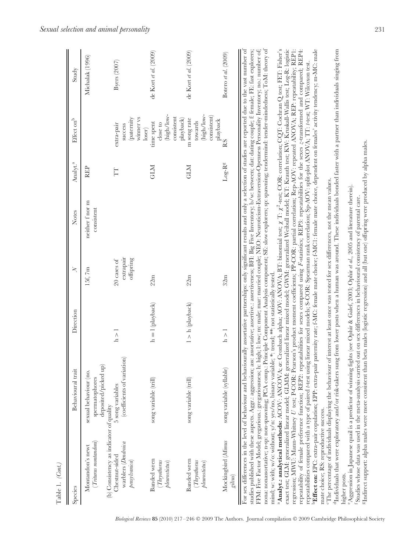| Table 1. (Cont.)                                                                                  |                                                                                                                                                                                                                                                                                                                                                                                                                                                                                                                                                                                                                                                                                                                                                                                                                                                                                                                                                                                                                                                                                                                                                                                                                                                                                                                                                                                                                                                                                                                                                                                                                                                                                                                                                                                                                                                                                                                                                                                                                                                                                                                                                                                                                                                                                                                                                 |                                                                                                                                                                                                                                                           |                                       |                               |                      |                                                                  |                       |
|---------------------------------------------------------------------------------------------------|-------------------------------------------------------------------------------------------------------------------------------------------------------------------------------------------------------------------------------------------------------------------------------------------------------------------------------------------------------------------------------------------------------------------------------------------------------------------------------------------------------------------------------------------------------------------------------------------------------------------------------------------------------------------------------------------------------------------------------------------------------------------------------------------------------------------------------------------------------------------------------------------------------------------------------------------------------------------------------------------------------------------------------------------------------------------------------------------------------------------------------------------------------------------------------------------------------------------------------------------------------------------------------------------------------------------------------------------------------------------------------------------------------------------------------------------------------------------------------------------------------------------------------------------------------------------------------------------------------------------------------------------------------------------------------------------------------------------------------------------------------------------------------------------------------------------------------------------------------------------------------------------------------------------------------------------------------------------------------------------------------------------------------------------------------------------------------------------------------------------------------------------------------------------------------------------------------------------------------------------------------------------------------------------------------------------------------------------------|-----------------------------------------------------------------------------------------------------------------------------------------------------------------------------------------------------------------------------------------------------------|---------------------------------------|-------------------------------|----------------------|------------------------------------------------------------------|-----------------------|
| Species                                                                                           | Behavioural trait                                                                                                                                                                                                                                                                                                                                                                                                                                                                                                                                                                                                                                                                                                                                                                                                                                                                                                                                                                                                                                                                                                                                                                                                                                                                                                                                                                                                                                                                                                                                                                                                                                                                                                                                                                                                                                                                                                                                                                                                                                                                                                                                                                                                                                                                                                                               | Direction                                                                                                                                                                                                                                                 | $\approx$                             | Notes                         | Analyt. <sup>a</sup> | Effect on <sup>b</sup>                                           | Study                 |
| $(Triturus\ montational)$<br>Montandon's newt                                                     | deposited/picked up)<br>sexual behaviour (no.<br>spermatophores                                                                                                                                                                                                                                                                                                                                                                                                                                                                                                                                                                                                                                                                                                                                                                                                                                                                                                                                                                                                                                                                                                                                                                                                                                                                                                                                                                                                                                                                                                                                                                                                                                                                                                                                                                                                                                                                                                                                                                                                                                                                                                                                                                                                                                                                                 |                                                                                                                                                                                                                                                           | 15f, 7m                               | neither f nor m<br>consistent | <b>REP</b>           |                                                                  | Michalak (1996)       |
| (b) Consistency as indicator of quality<br>warblers (Dendroica<br>Chestnut-sided<br>pensylvanica) | (coefficients of variation)<br>5 song variables                                                                                                                                                                                                                                                                                                                                                                                                                                                                                                                                                                                                                                                                                                                                                                                                                                                                                                                                                                                                                                                                                                                                                                                                                                                                                                                                                                                                                                                                                                                                                                                                                                                                                                                                                                                                                                                                                                                                                                                                                                                                                                                                                                                                                                                                                                 | h > 1                                                                                                                                                                                                                                                     | extrapair<br>offspring<br>20 cases of |                               | E                    | winner vs<br>(paternity<br>extra-pair<br>success                 | Byers (2007)          |
| <b>Banded</b> wren<br>(Throthorus<br>pleurostictus)                                               | song variable (trill)                                                                                                                                                                                                                                                                                                                                                                                                                                                                                                                                                                                                                                                                                                                                                                                                                                                                                                                                                                                                                                                                                                                                                                                                                                                                                                                                                                                                                                                                                                                                                                                                                                                                                                                                                                                                                                                                                                                                                                                                                                                                                                                                                                                                                                                                                                                           | $h = 1$ (playback)                                                                                                                                                                                                                                        | 22m                                   |                               | <b>CLM</b>           | high/low-<br>consistent<br>time spent<br>close to<br>loser)      | de Kort et al. (2009) |
| <b>Banded</b> wren<br>$(Thyot hours$<br>pleurostictus)                                            | song variable (trill)                                                                                                                                                                                                                                                                                                                                                                                                                                                                                                                                                                                                                                                                                                                                                                                                                                                                                                                                                                                                                                                                                                                                                                                                                                                                                                                                                                                                                                                                                                                                                                                                                                                                                                                                                                                                                                                                                                                                                                                                                                                                                                                                                                                                                                                                                                                           | $1 > h$ (playback)                                                                                                                                                                                                                                        | 22m                                   |                               | <b>GLM</b>           | (high/low-<br>consistent)<br>playback)<br>m song rate<br>towards | de Kort et al. (2009) |
| Mockingbird (Mimus<br>gilvus)                                                                     | song variable (syllable)                                                                                                                                                                                                                                                                                                                                                                                                                                                                                                                                                                                                                                                                                                                                                                                                                                                                                                                                                                                                                                                                                                                                                                                                                                                                                                                                                                                                                                                                                                                                                                                                                                                                                                                                                                                                                                                                                                                                                                                                                                                                                                                                                                                                                                                                                                                        | h > 1                                                                                                                                                                                                                                                     | 32m                                   |                               | $Log-Rg$             | playback<br>RS                                                   | Botero et al. (2009)  |
| mate choice; RS: reproductive success.<br>higher posts.                                           | nona: nonassortative; n-sp: non-spawning; PCA comp.: Principle Component Analysis component; SE: slow explorers; sp: spawning; tendermind: tender-mindedness; ToM: theory of<br>exact test; GLM: generalized linear model; GLMM: generalized linear mixed model; GWM: generalized Weibull model; KT: Krauth test; KW: Kruskall-Wallis test; Log-R: logistic<br>For sex differences in the level of behaviour and behaviourally assortative partnerships: only significant results and only a selection of studies are reported due to the vast number of<br>regression; MNU: Mam-Whitney U test; P-COR: Pearson's product moment coefficients; PP-COR: partial correlation; Rep-AOV: repeated ANOVA; REP: repeatability; REP:<br><sup>d</sup> Individuals that were exploratory and/or risk-takers sung from lower posts when a human was around. These individuals bonded faster with a partner than individuals singing from<br>studies published with these aspects. Aggr:. aggression; ass. assortative; assertive. assertive.ness; BFI: Big Five Inventory; b/w: between; dat: dating couple; f: female; FE: fast explorers;<br>repeatability of female preference function; REP2: repeatabilities for sexes compared using F-statistics; REP3: repeatabilities for the sexes z-transformed and compared; REP4:<br>FFM: Five Factor Model; gregarious.: gregariousness; h: high; l: low; m: male; mar: married couple; NEO: Neuroticism-Extraversion-Openness Personality Inventory; no.: number of;<br>repeatabilities compared with a type of paired t-test using linear mixed models; S-COR: Spearman rank correlation; Sp-AOV: split-plot ANOVA; TT: t-test; WT: Wilcoxon test.<br>The percentage of individuals displaying the behaviour of interest at least once was tested for sex differences, not the mean values.<br>"Aggression in Japanese quail is a predictor of winning fights (see Ophir & Galef, 2003; Ophir et al., 2005 and literature therein).<br>fStudies whose data was used in the meta-analysis carried out on sex differences in behavioural consistency of parental care.<br>mind; w: with; w/o: without; y/n: yes/no, binary variable; *: trend; **. not statistically tested.<br><sup>a</sup> Analyt.: analytical methods: ACOV: ANCOVA; a:<br><b>Effect on:</b> EPC: extra-pair copulation; EPP: extra-pair | paternity rate; f-MC: female mate choice; f-MCI: female mate choice, dependent on females' activity tendency; m-MC: male<br>Cronbach alpha; AOV: ANOVA; BT: binomial test; $\chi$ T: $\chi^2$ -test; COR: correlation; CQT: Cochran Q test; FET: Fisher's |                                       |                               |                      |                                                                  |                       |
|                                                                                                   | <sup>8</sup> Indirect support: alpha males were more consistent than beta males (logistic regression) and all (but one) offspring were produced by alpha males.                                                                                                                                                                                                                                                                                                                                                                                                                                                                                                                                                                                                                                                                                                                                                                                                                                                                                                                                                                                                                                                                                                                                                                                                                                                                                                                                                                                                                                                                                                                                                                                                                                                                                                                                                                                                                                                                                                                                                                                                                                                                                                                                                                                 |                                                                                                                                                                                                                                                           |                                       |                               |                      |                                                                  |                       |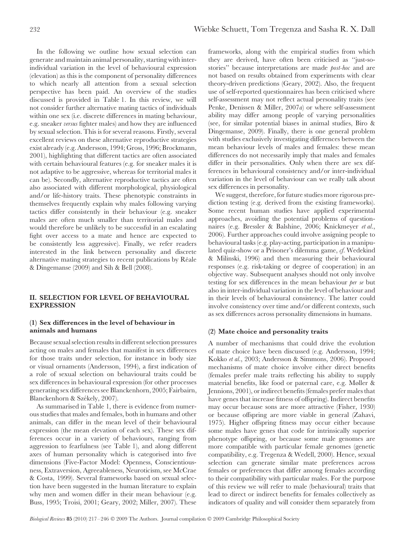In the following we outline how sexual selection can generate and maintain animal personality, starting with interindividual variation in the level of behavioural expression (elevation) as this is the component of personality differences to which nearly all attention from a sexual selection perspective has been paid. An overview of the studies discussed is provided in Table 1. In this review, we will not consider further alternative mating tactics of individuals within one sex (i.e. discrete differences in mating behaviour, e.g. sneaker *versus* fighter males) and how they are influenced by sexual selection. This is for several reasons. Firstly, several excellent reviews on these alternative reproductive strategies exist already (e.g. Andersson, 1994; Gross, 1996; Brockmann, 2001), highlighting that different tactics are often associated with certain behavioural features (e.g. for sneaker males it is not adaptive to be aggressive, whereas for territorial males it can be). Secondly, alternative reproductive tactics are often also associated with different morphological, physiological and/or life-history traits. These phenotypic constraints in themselves frequently explain why males following varying tactics differ consistently in their behaviour (e.g. sneaker males are often much smaller than territorial males and would therefore be unlikely to be successful in an escalating fight over access to a mate and hence are expected to be consistently less aggressive). Finally, we refer readers interested in the link between personality and discrete alternative mating strategies to recent publications by Reale ´ & Dingemanse (2009) and Sih & Bell (2008).

## **II. SELECTION FOR LEVEL OF BEHAVIOURAL EXPRESSION**

## **(1) Sex differences in the level of behaviour in animals and humans**

Because sexual selection results in different selection pressures acting on males and females that manifest in sex differences for those traits under selection, for instance in body size or visual ornaments (Andersson, 1994), a first indication of a role of sexual selection on behavioural traits could be sex differences in behavioural expression (for other processes generating sex differences see Blanckenhorn, 2005; Fairbairn, Blanckenhorn & Székely, 2007).

As summarised in Table 1, there is evidence from numerous studies that males and females, both in humans and other animals, can differ in the mean level of their behavioural expression (the mean elevation of each sex). These sex differences occur in a variety of behaviours, ranging from aggression to fearfulness (see Table 1), and along different axes of human personality which is categorised into five dimensions (Five-Factor Model: Openness, Conscientiousness, Extraversion, Agreeableness, Neuroticism, see McCrae & Costa, 1999). Several frameworks based on sexual selection have been suggested in the human literature to explain why men and women differ in their mean behaviour (e.g. Buss, 1995; Troisi, 2001; Geary, 2002; Miller, 2007). These

frameworks, along with the empirical studies from which they are derived, have often been criticised as ''just-sostories'' because interpretations are made *post-hoc* and are not based on results obtained from experiments with clear theory-driven predictions (Geary, 2002). Also, the frequent use of self-reported questionnaires has been criticised where self-assessment may not reflect actual personality traits (see Penke, Denissen & Miller, 2007*a*) or where self-assessment ability may differ among people of varying personalities (see, for similar potential biases in animal studies, Biro & Dingemanse, 2009). Finally, there is one general problem with studies exclusively investigating differences between the mean behaviour levels of males and females: these mean differences do not necessarily imply that males and females differ in their personalities. Only when there are sex differences in behavioural consistency and/or inter-individual variation in the level of behaviour can we really talk about sex differences in personality.

We suggest, therefore, for future studies more rigorous prediction testing (e.g. derived from the existing frameworks). Some recent human studies have applied experimental approaches, avoiding the potential problems of questionnaires (e.g. Bressler & Balshine, 2006; Knickmeyer *et al*., 2006). Further approaches could involve assigning people to behavioural tasks (e.g. play-acting, participation in a manipulated quiz-show or a Prisoner's dilemma game, *cf*. Wedekind & Milinski, 1996) and then measuring their behavioural responses (e.g. risk-taking or degree of cooperation) in an objective way. Subsequent analyses should not only involve testing for sex differences in the mean behaviour *per se* but also in inter-individual variation in the level of behaviour and in their levels of behavioural consistency. The latter could involve consistency over time and/or different contexts, such as sex differences across personality dimensions in humans.

## **(2) Mate choice and personality traits**

A number of mechanisms that could drive the evolution of mate choice have been discussed (e.g. Andersson, 1994; Kokko *et al*., 2003; Andersson & Simmons, 2006). Proposed mechanisms of mate choice involve either direct benefits (females prefer male traits reflecting his ability to supply material benefits, like food or paternal care, e.g. Møller & Jennions, 2001), or indirect benefits (females prefer males that have genes that increase fitness of offspring). Indirect benefits may occur because sons are more attractive (Fisher, 1930) or because offspring are more viable in general (Zahavi, 1975). Higher offspring fitness may occur either because some males have genes that code for intrinsically superior phenotype offspring, or because some male genomes are more compatible with particular female genomes (genetic compatibility, e.g. Tregenza & Wedell, 2000). Hence, sexual selection can generate similar mate preferences across females or preferences that differ among females according to their compatibility with particular males. For the purpose of this review we will refer to male (behavioural) traits that lead to direct or indirect benefits for females collectively as indicators of quality and will consider them separately from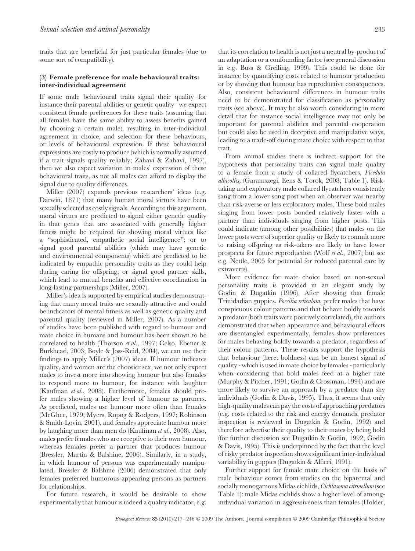traits that are beneficial for just particular females (due to some sort of compatibility).

## **(3) Female preference for male behavioural traits: inter-individual agreement**

If some male behavioural traits signal their quality–for instance their parental abilities or genetic quality–we expect consistent female preferences for these traits (assuming that all females have the same ability to assess benefits gained by choosing a certain male), resulting in inter-individual agreement in choice, and selection for these behaviours, or levels of behavioural expression. If these behavioural expressions are costly to produce (which is normally assumed if a trait signals quality reliably; Zahavi & Zahavi, 1997), then we also expect variation in males' expression of these behavioural traits, as not all males can afford to display the signal due to quality differences.

Miller (2007) expands previous researchers' ideas (e.g. Darwin, 1871) that many human moral virtues have been sexually selected as costly signals. According to this argument, moral virtues are predicted to signal either genetic quality in that genes that are associated with generally higher fitness might be required for showing moral virtues like a ''sophisticated, empathetic social intelligence''; or to signal good parental abilities (which may have genetic and environmental components) which are predicted to be indicated by empathic personality traits as they could help during caring for offspring; or signal good partner skills, which lead to mutual benefits and effective coordination in long-lasting partnerships (Miller, 2007).

Miller's idea is supported by empirical studies demonstrating that many moral traits are sexually attractive and could be indicators of mental fitness as well as genetic quality and parental quality (reviewed in Miller, 2007). As a number of studies have been published with regard to humour and mate choice in humans and humour has been shown to be correlated to health (Thorson *et al*., 1997; Celso, Ebener & Burkhead, 2003; Boyle & Joss-Reid, 2004), we can use their findings to apply Miller's (2007) ideas. If humour indicates quality, and women are the choosier sex, we not only expect males to invest more into showing humour but also females to respond more to humour, for instance with laughter (Kaufman *et al*., 2008). Furthermore, females should prefer males showing a higher level of humour as partners. As predicted, males use humour more often than females (McGhee, 1979; Myers, Ropog & Rodgers, 1997; Robinson & Smith-Lovin, 2001), and females appreciate humour more by laughing more than men do (Kaufman *et al*., 2008). Also, males prefer females who are receptive to their own humour, whereas females prefer a partner that produces humour (Bressler, Martin & Balshine, 2006). Similarly, in a study, in which humour of persons was experimentally manipulated, Bressler & Balshine (2006) demonstrated that only females preferred humorous-appearing persons as partners for relationships.

For future research, it would be desirable to show experimentally that humour is indeed a quality indicator, e.g.

that its correlation to health is not just a neutral by-product of an adaptation or a confounding factor (see general discussion in e.g. Buss & Greiling, 1999). This could be done for instance by quantifying costs related to humour production or by showing that humour has reproductive consequences. Also, consistent behavioural differences in humour traits need to be demonstrated for classification as personality traits (see above). It may be also worth considering in more detail that for instance social intelligence may not only be important for parental abilities and parental cooperation but could also be used in deceptive and manipulative ways, leading to a trade-off during mate choice with respect to that trait.

From animal studies there is indirect support for the hypothesis that personality traits can signal male quality to a female from a study of collared flycatchers, *Ficedula albicollis,* (Garamszegi, Eens & Torok, 2008; Table 1). Risktaking and exploratory male collared flycatchers consistently sang from a lower song post when an observer was nearby than risk-averse or less exploratory males. These bold males singing from lower posts bonded relatively faster with a partner than individuals singing from higher posts. This could indicate (among other possibilities) that males on the lower posts were of superior quality or likely to commit more to raising offspring as risk-takers are likely to have lower prospects for future reproduction (Wolf *et al*., 2007; but see e.g. Nettle, 2005 for potential for reduced parental care by extraverts).

More evidence for mate choice based on non-sexual personality traits is provided in an elegant study by Godin & Dugatkin (1996). After showing that female Trinidadian guppies, *Poecilia reticulata*, prefer males that have conspicuous colour patterns and that behave boldly towards a predator (both traits were positively correlated), the authors demonstrated that when appearance and behavioural effects are disentangled experimentally, females show preferences for males behaving boldly towards a predator, regardless of their colour patterns. These results support the hypothesis that behaviour (here: boldness) can be an honest signal of quality - which is used in mate choice by females - particularly when considering that bold males feed at a higher rate (Murphy & Pitcher, 1991; Godin & Crossman, 1994) and are more likely to survive an approach by a predator than shy individuals (Godin & Davis, 1995). Thus, it seems that only high-quality males can pay the costs of approaching predators (e.g. costs related to the risk and energy demands, predator inspection is reviewed in Dugatkin & Godin, 1992) and therefore advertise their quality to their mates by being bold (for further discussion see Dugatkin & Godin, 1992; Godin & Davis, 1995). This is underpinned by the fact that the level of risky predator inspection shows significant inter-individual variability in guppies (Dugatkin & Alfieri, 1991).

Further support for female mate choice on the basis of male behaviour comes from studies on the biparental and socially monogamous Midas cichlids, *Cichlasoma citrinellum* (see Table 1): male Midas cichlids show a higher level of amongindividual variation in aggressiveness than females (Holder,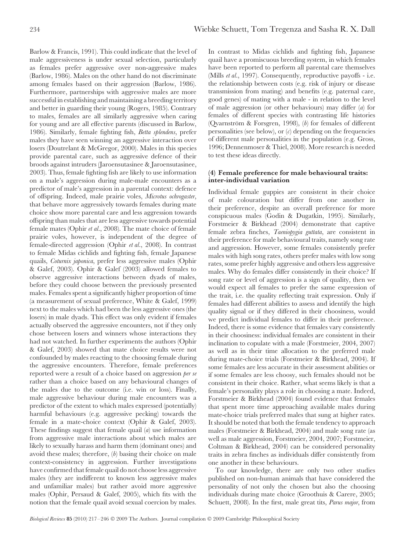Barlow & Francis, 1991). This could indicate that the level of male aggressiveness is under sexual selection, particularly as females prefer aggressive over non-aggressive males (Barlow, 1986). Males on the other hand do not discriminate among females based on their aggression (Barlow, 1986). Furthermore, partnerships with aggressive males are more successful in establishing and maintaining a breeding territory and better in guarding their young (Rogers, 1985). Contrary to males, females are all similarly aggressive when caring for young and are all effective parents (discussed in Barlow, 1986). Similarly, female fighting fish, *Betta splendens*, prefer males they have seen winning an aggressive interaction over losers (Doutrelant & McGregor, 2000). Males in this species provide parental care, such as aggressive defence of their broods against intruders (Jaroensutasinee & Jaroensutasinee, 2003). Thus, female fighting fish are likely to use information on a male's aggression during male-male encounters as a predictor of male's aggression in a parental context: defence of offspring. Indeed, male prairie voles, *Microtus ochrogaster*, that behave more aggressively towards females during mate choice show more parental care and less aggression towards offspring than males that are less aggressive towards potential female mates (Ophir *et al*., 2008). The mate choice of female prairie voles, however, is independent of the degree of female-directed aggression (Ophir *et al*., 2008). In contrast to female Midas cichlids and fighting fish, female Japanese quails, *Coturnix japonica*, prefer less aggressive males (Ophir & Galef, 2003). Ophir & Galef (2003) allowed females to observe aggressive interactions between dyads of males, before they could choose between the previously presented males. Females spent a significantly higher proportion of time (a measurement of sexual preference, White & Galef, 1999) next to the males which had been the less aggressive ones (the losers) in male dyads. This effect was only evident if females actually observed the aggressive encounters, not if they only chose between losers and winners whose interactions they had not watched. In further experiments the authors (Ophir & Galef, 2003) showed that mate choice results were not confounded by males reacting to the choosing female during the aggressive encounters. Therefore, female preferences reported were a result of a choice based on aggression *per se* rather than a choice based on any behavioural changes of the males due to the outcome (i.e. win or loss). Finally, male aggressive behaviour during male encounters was a predictor of the extent to which males expressed (potentially) harmful behaviours (e.g. aggressive pecking) towards the female in a mate-choice context (Ophir & Galef, 2003). These findings suggest that female quail (*a*) use information from aggressive male interactions about which males are likely to sexually harass and harm them (dominant ones) and avoid these males; therefore, (*b*) basing their choice on male context-consistency in aggression. Further investigations have confirmed that female quail do not choose less aggressive males (they are indifferent to known less aggressive males and unfamiliar males) but rather avoid more aggressive males (Ophir, Persaud & Galef, 2005), which fits with the notion that the female quail avoid sexual coercion by males.

In contrast to Midas cichlids and fighting fish, Japanese quail have a promiscuous breeding system, in which females have been reported to perform all parental care themselves (Mills *et al*., 1997). Consequently, reproductive payoffs - i.e. the relationship between costs (e.g. risk of injury or disease transmission from mating) and benefits (e.g. paternal care, good genes) of mating with a male - in relation to the level of male aggression (or other behaviours) may differ (*a*) for females of different species with contrasting life histories (Qvarnström & Forsgren, 1998), (b) for females of different personalities (see below), or (*c*) depending on the frequencies of different male personalities in the population (e.g. Gross, 1996; Dennenmoser & Thiel, 2008). More research is needed to test these ideas directly.

## **(4) Female preference for male behavioural traits: inter-individual variation**

Individual female guppies are consistent in their choice of male colouration but differ from one another in their preference, despite an overall preference for more conspicuous males (Godin & Dugatkin, 1995). Similarly, Forstmeier & Birkhead (2004) demonstrate that captive female zebra finches, *Taeniopygia guttata*, are consistent in their preference for male behavioural traits, namely song rate and aggression. However, some females consistently prefer males with high song rates, others prefer males with low song rates, some prefer highly aggressive and others less aggressive males. Why do females differ consistently in their choice? If song rate or level of aggression is a sign of quality, then we would expect all females to prefer the same expression of the trait, i.e. the quality reflecting trait expression. Only if females had different abilities to assess and identify the high quality signal or if they differed in their choosiness, would we predict individual females to differ in their preference. Indeed, there is some evidence that females vary consistently in their choosiness: individual females are consistent in their inclination to copulate with a male (Forstmeier, 2004, 2007) as well as in their time allocation to the preferred male during mate-choice trials (Forstmeier & Birkhead, 2004). If some females are less accurate in their assessment abilities or if some females are less choosy, such females should not be consistent in their choice. Rather, what seems likely is that a female's personality plays a role in choosing a mate. Indeed, Forstmeier & Birkhead (2004) found evidence that females that spent more time approaching available males during mate-choice trials preferred males that sung at higher rates. It should be noted that both the female tendency to approach males (Forstmeier & Birkhead, 2004) and male song rate (as well as male aggression, Forstmeier, 2004, 2007; Forstmeier, Coltman & Birkhead, 2004) can be considered personality traits in zebra finches as individuals differ consistently from one another in these behaviours.

To our knowledge, there are only two other studies published on non-human animals that have considered the personality of not only the chosen but also the choosing individuals during mate choice (Groothuis & Carere, 2005; Schuett, 2008). In the first, male great tits, *Parus major*, from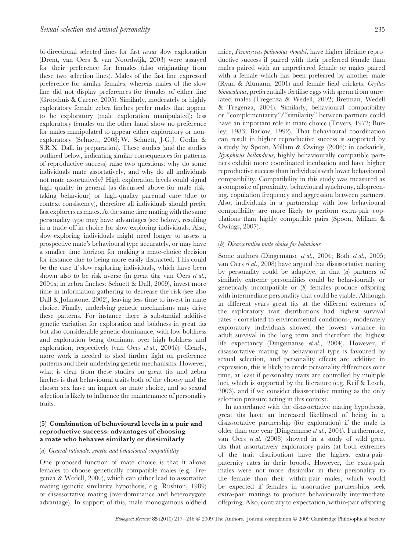bi-directional selected lines for fast *versus* slow exploration (Drent, van Oers & van Noordwijk, 2003) were assayed for their preference for females (also originating from these two selection lines). Males of the fast line expressed preference for similar females, whereas males of the slow line did not display preferences for females of either line (Groothuis & Carere, 2005). Similarly, moderately or highly exploratory female zebra finches prefer males that appear to be exploratory (male exploration manipulated); less exploratory females on the other hand show no preference for males manipulated to appear either exploratory or nonexploratory (Schuett, 2008; W. Schuett, J-G.J. Godin & S.R.X. Dall, in preparation). These studies (and the studies outlined below, indicating similar consequences for patterns of reproductive success) raise two questions: why do some individuals mate assortatively, and why do all individuals not mate assortatively? High exploration levels could signal high quality in general (as discussed above for male risktaking behaviour) or high-quality parental care (due to context consistency), therefore all individuals should prefer fast explorers as mates. At the same time mating with the same personality type may have advantages (see below), resulting in a trade-off in choice for slow-exploring individuals. Also, slow-exploring individuals might need longer to assess a prospective mate's behavioural type accurately, or may have a smaller time horizon for making a mate-choice decision for instance due to being more easily distracted. This could be the case if slow-exploring individuals, which have been shown also to be risk averse (in great tits: van Oers *et al*., 2004*a*; in zebra finches: Schuett & Dall, 2009), invest more time in information-gathering to decrease the risk (see also Dall & Johnstone, 2002), leaving less time to invest in mate choice. Finally, underlying genetic mechanisms may drive these patterns. For instance there is substantial additive genetic variation for exploration and boldness in great tits but also considerable genetic dominance, with low boldness and exploration being dominant over high boldness and exploration, respectively (van Oers *et al*., 2004*b*). Clearly, more work is needed to shed further light on preference patterns and their underlying genetic mechanisms. However, what is clear from these studies on great tits and zebra finches is that behavioural traits both of the choosy and the chosen sex have an impact on mate choice, and so sexual selection is likely to influence the maintenance of personality traits.

## **(5) Combination of behavioural levels in a pair and reproductive success: advantages of choosing a mate who behaves similarly or dissimilarly**

#### (*a*) *General rationale: genetic and behavioural compatibility*

One proposed function of mate choice is that it allows females to choose genetically compatible males (e.g. Tregenza & Wedell, 2000), which can either lead to assortative mating (genetic similarity hypothesis, e.g. Rushton, 1989) or disassortative mating (overdominance and heterozygote advantage). In support of this, male monogamous oldfield

mice, *Peromyscus polionotus rhoadsi,* have higher lifetime reproductive success if paired with their preferred female than males paired with an unpreferred female or males paired with a female which has been preferred by another male (Ryan & Altmann, 2001) and female field crickets, *Gryllus bimaculatus,* preferentially fertilise eggs with sperm from unrelated males (Tregenza & Wedell, 2002; Bretman, Wedell & Tregenza, 2004). Similarly, behavioural compatibility or ''complementarity''/''similarity'' between partners could have an important role in mate choice (Trivers, 1972; Burley, 1983; Barlow, 1992). That behavioural coordination can result in higher reproductive success is supported by a study by Spoon, Millam & Owings (2006): in cockatiels, *Nymphicus hollandicus,* highly behaviourally compatible partners exhibit more coordinated incubation and have higher reproductive success than individuals with lower behavioural compatibility. Compatibility in this study was measured as a composite of proximity, behavioural synchrony, allopreening, copulation frequency and aggression between partners. Also, individuals in a partnership with low behavioural compatibility are more likely to perform extra-pair copulations than highly compatible pairs (Spoon, Millam & Owings, 2007).

#### (*b*) *Disassortative mate choice for behaviour*

Some authors (Dingemanse *et al*., 2004; Both *et al*., 2005; van Oers *et al*., 2008) have argued that disassortative mating by personality could be adaptive, in that (*a*) partners of similarly extreme personalities could be behaviourally or genetically incompatible or (*b*) females produce offspring with intermediate personality that could be viable. Although in different years great tits at the different extremes of the exploratory trait distributions had highest survival rates - correlated to environmental conditions-, moderately exploratory individuals showed the lowest variance in adult survival in the long term and therefore the highest life expectancy (Dingemanse *et al*., 2004). However, if disassortative mating by behavioural type is favoured by sexual selection, and personality effects are additive in expression, this is likely to erode personality differences over time, at least if personality traits are controlled by multiple loci, which is supported by the literature (e.g. Reif & Lesch, 2003), and if we consider disassortative mating as the only selection pressure acting in this context.

In accordance with the disassortative mating hypothesis, great tits have an increased likelihood of being in a disassortative partnership (for exploration) if the male is older than one year (Dingemanse *et al*., 2004). Furthermore, van Oers *et al*. (2008) showed in a study of wild great tits that assortatively exploratory pairs (at both extremes of the trait distribution) have the highest extra-pairpaternity rates in their broods. However, the extra-pair males were not more dissimilar in their personality to the female than their within-pair males, which would be expected if females in assortative partnerships seek extra-pair matings to produce behaviourally intermediate offspring. Also, contrary to expectation, within-pair offspring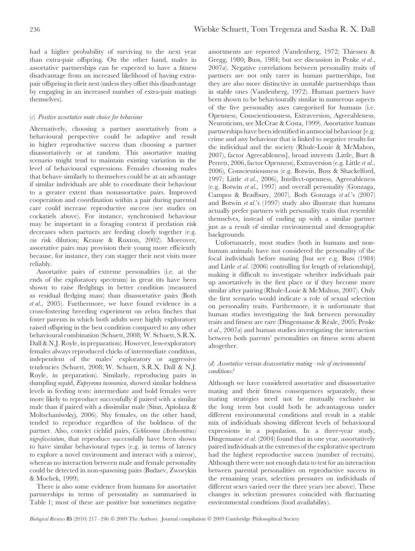had a higher probability of surviving to the next year than extra-pair offspring. On the other hand, males in assortative partnerships can be expected to have a fitness disadvantage from an increased likelihood of having extrapair offspring in their nest (unless they offset this disadvantage by engaging in an increased number of extra-pair matings themselves).

## (*c*) *Positive assortative mate choice for behaviour*

Alternatively, choosing a partner assortatively from a behavioural perspective could be adaptive and result in higher reproductive success than choosing a partner disassortatively or at random. This assortative mating scenario might tend to maintain existing variation in the level of behavioural expressions. Females choosing males that behave similarly to themselves could be at an advantage if similar individuals are able to coordinate their behaviour to a greater extent than nonassortative pairs. Improved cooperation and coordination within a pair during parental care could increase reproductive success (see studies on cockatiels above). For instance, synchronised behaviour may be important in a foraging context if predation risk decreases when partners are feeding closely together (e.g. *via* risk dilution; Krause & Ruxton, 2002). Moreover, assortative pairs may provision their young more efficiently because, for instance, they can stagger their nest visits more reliably.

Assortative pairs of extreme personalities (i.e. at the ends of the exploratory spectrum) in great tits have been shown to raise fledglings in better condition (measured as residual fledging mass) than disassortative pairs (Both *et al*., 2005). Furthermore, we have found evidence in a cross-fostering breeding experiment on zebra finches that foster parents in which both adults were highly exploratory raised offspring in the best condition compared to any other behavioural combination (Schuett, 2008; W. Schuett, S.R.X. Dall & N.J. Royle, in preparation). However, less-exploratory females always reproduced chicks of intermediate condition, independent of the males' exploratory or aggressive tendencies (Schuett, 2008; W. Schuett, S.R.X. Dall & N.J. Royle, in preparation). Similarly, reproducing pairs in dumpling squid, *Euprymna tasmanica*, showed similar boldness levels in feeding tests: intermediate and bold females were more likely to reproduce successfully if paired with a similar male than if paired with a dissimilar male (Sinn, Apiolaza & Moltschaniwskyj, 2006). Shy females, on the other hand, tended to reproduce regardless of the boldness of the partner. Also, convict cichlid pairs, *Cichlasoma (Archocentrus) nigrofasciatum*, that reproduce successfully have been shown to have similar behavioural types (e.g. in terms of latency to explore a novel environment and interact with a mirror), whereas no interaction between male and female personality could be detected in non-spawning pairs (Budaev, Zworykin & Mochek, 1999).

There is also some evidence from humans for assortative partnerships in terms of personality as summarised in Table 1; most of these are positive but sometimes negative

assortments are reported (Vandenberg, 1972; Thiessen & Gregg, 1980; Buss, 1984; but see discussion in Penke *et al*., 2007*a*). Negative correlations between personality traits of partners are not only rarer in human partnerships, but they are also more distinctive in unstable partnerships than in stable ones (Vandenberg, 1972). Human partners have been shown to be behaviourally similar in numerous aspects of the five personality axes categorised for humans (i.e. Openness, Conscientiousness, Extraversion, Agreeableness, Neuroticism, see McCrae & Costa, 1999). Assortative human partnerships have been identified in antisocial behaviour [e.g. crime and any behaviour that is linked to negative results for the individual and the society (Rhule-Louie & McMahon, 2007), factor Agreeableness], broad interests (Little, Burt & Perrett, 2006, factor Openness), Extraversion (e.g. Little *et al*., 2006), Conscientiousness (e.g. Botwin, Buss & Shackelford, 1997; Little *et al*., 2006), Intellect-openness, Agreeableness (e.g. Botwin *et al*., 1997) and overall personality (Gonzaga, Campos & Bradbury, 2007). Both Gonzaga *et al*.'s (2007) and Botwin *et al*.'s (1997) study also illustrate that humans actually prefer partners with personality traits that resemble themselves, instead of ending up with a similar partner just as a result of similar environmental and demographic backgrounds.

Unfortunately, most studies (both in humans and nonhuman animals) have not considered the personality of the focal individuals before mating [but see e.g. Buss (1984) and Little *et al*. (2006) controlling for length of relationship], making it difficult to investigate whether individuals pair up assortatively in the first place or if they become more similar after pairing (Rhule-Louie & McMahon, 2007). Only the first scenario would indicate a role of sexual selection on personality traits. Furthermore, it is unfortunate that human studies investigating the link between personality traits and fitness are rare (Dingemanse & Reale, 2005; Penke ´ *et al*., 2007*a*) and human studies investigating the interaction between both parents' personalities on fitness seem absent altogether.

## (*d*) *Assortative* versus *disassortative mating–role of environmental conditions?*

Although we have considered assortative and disassortative mating and their fitness consequences separately, these mating strategies need not be mutually exclusive in the long term but could both be advantageous under different environmental conditions and result in a stable mix of individuals showing different levels of behavioural expressions in a population. In a three-year study, Dingemanse *et al*. (2004) found that in one year, assortatively paired individuals at the extremes of the explorative spectrum had the highest reproductive success (number of recruits). Although there were not enough data to test for an interaction between parental personalities on reproductive success in the remaining years, selection pressures on individuals of different sexes varied over the three years (see above). These changes in selection pressures coincided with fluctuating environmental conditions (food availability).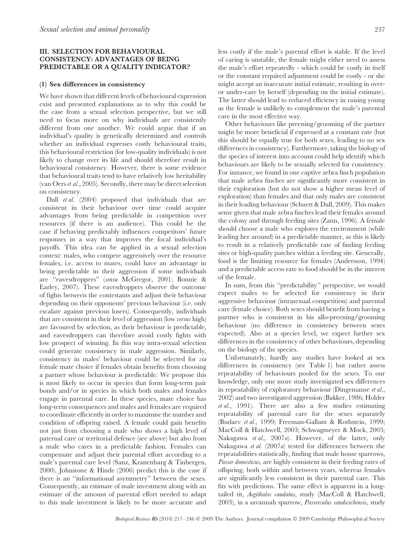## **III. SELECTION FOR BEHAVIOURAL CONSISTENCY: ADVANTAGES OF BEING PREDICTABLE OR A QUALITY INDICATOR?**

## **(1) Sex differences in consistency**

We have shown that different levels of behavioural expression exist and presented explanations as to why this could be the case from a sexual selection perspective, but we still need to focus more on why individuals are consistently different from one another. We could argue that if an individual's quality is genetically determined and controls whether an individual expresses costly behavioural traits, this behavioural restriction (for low-quality individuals) is not likely to change over its life and should therefore result in behavioural consistency. However, there is some evidence that behavioural traits tend to have relatively low heritability (van Oers *et al*., 2005). Secondly, there may be direct selection on consistency.

Dall *et al*. (2004) proposed that individuals that are consistent in their behaviour over time could acquire advantages from being predictable in competition over resources (if there is an audience). This could be the case if behaving predictably influences competitors' future responses in a way that improves the focal individual's payoffs. This idea can be applied in a sexual selection context: males, who compete aggressively over the resource females, i.e. access to mates, could have an advantage in being predictable in their aggression if some individuals are ''eavesdroppers'' (*sensu* McGregor, 2001; Bonnie & Earley, 2007). These eavesdroppers observe the outcome of fights between the contestants and adjust their behaviour depending on their opponents' previous behaviour (i.e. only escalate against previous losers). Consequently, individuals that are consistent in their level of aggression (low *versus* high) are favoured by selection, as their behaviour is predictable, and eavesdroppers can therefore avoid costly fights with low prospect of winning. In this way intra-sexual selection could generate consistency in male aggression. Similarly, consistency in males' behaviour could be selected for *via* female mate choice if females obtain benefits from choosing a partner whose behaviour is predictable. We propose this is most likely to occur in species that form long-term pair bonds and/or in species in which both males and females engage in parental care. In these species, mate choice has long-term consequences and males and females are required to coordinate efficiently in order to maximise the number and condition of offspring raised. A female could gain benefits not just from choosing a male who shows a high level of paternal care or territorial defence (see above) but also from a male who cares in a predictable fashion. Females can compensate and adjust their parental effort according to a male's parental care level (Sanz, Kranenbarg & Tinbergen, 2000). Johnstone & Hinde (2006) predict this is the case if there is an ''informational asymmetry'' between the sexes. Consequently, an estimate of male investment along with an estimate of the amount of parental effort needed to adapt to this male investment is likely to be more accurate and

or the constant required adjustment could be costly - or she might accept an inaccurate initial estimate, resulting in overor under-care by herself (depending on the initial estimate). The latter should lead to reduced efficiency in raising young as the female is unlikely to complement the male's parental care in the most effective way.

Other behaviours like preening/grooming of the partner might be more beneficial if expressed at a constant rate (but this should be equally true for both sexes, leading to no sex differences in consistency). Furthermore, taking the biology of the species of interest into account could help identify which behaviours are likely to be sexually selected for consistency. For instance, we found in one captive zebra finch population that male zebra finches are significantly more consistent in their exploration (but do not show a higher mean level of exploration) than females and that only males are consistent in their leading behaviour (Schuett & Dall, 2009). This makes sense given that male zebra finches lead their females around the colony and through feeding sites (Zann, 1996). A female should choose a male who explores the environment (while leading her around) in a predictable manner, as this is likely to result in a relatively predictable rate of finding feeding sites or high-quality patches within a feeding site. Generally, food is the limiting resource for females (Andersson, 1994) and a predictable access rate to food should be in the interest of the female.

In sum, from this ''predictability'' perspective, we would expect males to be selected for consistency in their aggressive behaviour (intrasexual competition) and parental care (female choice). Both sexes should benefit from having a partner who is consistent in his allo-preening/grooming behaviour (no difference in consistency between sexes expected). Also at a species level, we expect further sex differences in the consistency of other behaviours, depending on the biology of the species.

Unfortunately, hardly any studies have looked at sex differences in consistency (see Table 1) but rather assess repeatability of behaviours pooled for the sexes. To our knowledge, only one more study investigated sex differences in repeatability of exploratory behaviour (Dingemanse *et al*., 2002) and two investigated aggression (Bakker, 1986; Holder *et al*., 1991). There are also a few studies estimating repeatability of parental care for the sexes separately (Budaev *et al*., 1999; Freeman-Gallant & Rothstein, 1999; MacColl & Hatchwell, 2003; Schwagmeyer & Mock, 2003; Nakagawa *et al*., 2007*a*). However, of the latter, only Nakagawa *et al*. (2007*a*) tested for differences between the repeatabilities statistically, finding that male house sparrows, *Passer domesticus*, are highly consistent in their feeding rates of offspring, both within and between years, whereas females are significantly less consistent in their parental care. This fits with predictions. The same effect is apparent in a longtailed tit, *Aegithalos caudatus,* study (MacColl & Hatchwell, 2003), in a savannah sparrow, *Passerculus sandwichensis,* study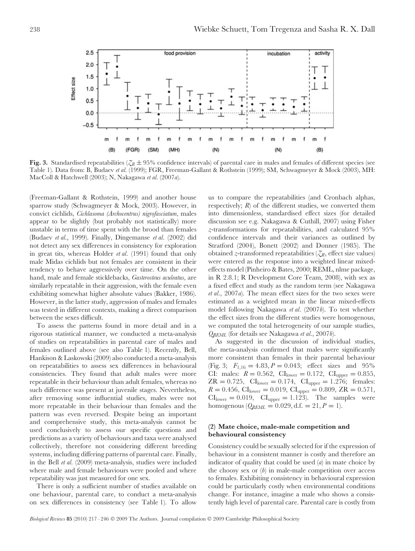

**Fig. 3.** Standardised repeatabilities ( $\zeta_R \pm 95\%$  confidence intervals) of parental care in males and females of different species (see Table 1). Data from: B, Budaev *et al*. (1999); FGR, Freeman-Gallant & Rothstein (1999); SM, Schwagmeyer & Mock (2003), MH: MacColl & Hatchwell (2003); N, Nakagawa *et al*. (2007*a*).

(Freeman-Gallant & Rothstein, 1999) and another house sparrow study (Schwagmeyer & Mock, 2003). However, in convict cichlids, *Cichlasoma (Archocentrus) nigrofasciatum*, males appear to be slightly (but probably not statistically) more unstable in terms of time spent with the brood than females (Budaev *et al*., 1999). Finally, Dingemanse *et al*. (2002) did not detect any sex differences in consistency for exploration in great tits, whereas Holder *et al*. (1991) found that only male Midas cichlids but not females are consistent in their tendency to behave aggressively over time. On the other hand, male and female sticklebacks, *Gasterosteus aculeatus,* are similarly repeatable in their aggression, with the female even exhibiting somewhat higher absolute values (Bakker, 1986). However, in the latter study, aggression of males and females was tested in different contexts, making a direct comparison between the sexes difficult.

To assess the patterns found in more detail and in a rigorous statistical manner, we conducted a meta-analysis of studies on repeatabilities in parental care of males and females outlined above (see also Table 1). Recently, Bell, Hankison & Laskowski (2009) also conducted a meta-analysis on repeatabilities to assess sex differences in behavioural consistencies. They found that adult males were more repeatable in their behaviour than adult females, whereas no such difference was present at juvenile stages. Nevertheless, after removing some influential studies, males were not more repeatable in their behaviour than females and the pattern was even reversed. Despite being an important and comprehensive study, this meta-analysis cannot be used conclusively to assess our specific questions and predictions as a variety of behaviours and taxa were analysed collectively, therefore not considering different breeding systems, including differing patterns of parental care. Finally, in the Bell *et al*. (2009) meta-analysis, studies were included where male and female behaviours were pooled and where repeatability was just measured for one sex.

There is only a sufficient number of studies available on one behaviour, parental care, to conduct a meta-analysis on sex differences in consistency (see Table 1). To allow

us to compare the repeatabilities (and Cronbach alphas, respectively;  $R$ ) of the different studies, we converted them into dimensionless, standardised effect sizes (for detailed discussion see e.g. Nakagawa & Cuthill, 2007) using Fisher *z*-transformations for repeatabilities, and calculated 95% confidence intervals and their variances as outlined by Stratford (2004), Bonett (2002) and Donner (1985). The obtained *z*-transformed repeatabilities  $(\zeta_R, \text{effect size values})$ were entered as the response into a weighted linear mixedeffects model (Pinheiro & Bates, 2000; REML, nlme package, in R 2.8.1; R Development Core Team, 2008), with sex as a fixed effect and study as the random term (see Nakagawa *et al*., 2007*a*). The mean effect sizes for the two sexes were estimated as a weighted mean in the linear mixed-effects model following Nakagawa *et al*. (2007*b*). To test whether the effect sizes from the different studies were homogenous, we computed the total heterogeneity of our sample studies, *QREML* (for details see Nakagawa *et al*., 2007*b*).

As suggested in the discussion of individual studies, the meta-analysis confirmed that males were significantly more consistent than females in their parental behaviour (Fig. 3;  $F_{1,16} = 4.83, P = 0.043$ ; effect sizes and 95%) CI: males:  $R = 0.562$ , CI<sub>lower</sub> = 0.172, CI<sub>upper</sub> = 0.855,  $ZR = 0.725, \text{ CI}_{\text{lower}} = 0.174, \text{CI}_{\text{upper}} = 1.276; \text{ females:}$  $R = 0.456$ , CI<sub>lower</sub> = 0.019, CI<sub>upper</sub> = 0.809, ZR = 0.571,  $CI<sub>lower</sub> = 0.019$ ,  $CI<sub>upper</sub> = 1.123$ . The samples were homogenous ( $Q_{REML} = 0.029$ , d.f. = 21,  $P = 1$ ).

## **(2) Mate choice, male-male competition and behavioural consistency**

Consistency could be sexually selected for if the expression of behaviour in a consistent manner is costly and therefore an indicator of quality that could be used (*a*) in mate choice by the choosy sex or  $(b)$  in male-male competition over access to females. Exhibiting consistency in behavioural expression could be particularly costly when environmental conditions change. For instance, imagine a male who shows a consistently high level of parental care. Parental care is costly from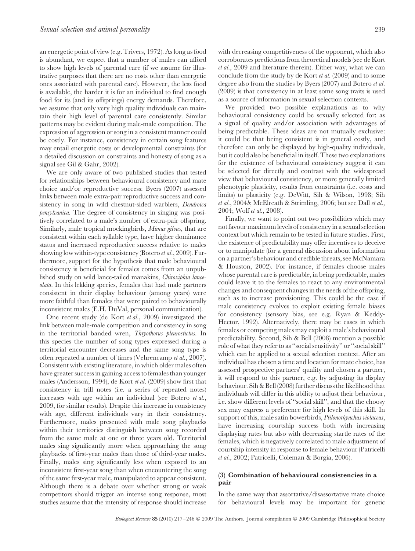an energetic point of view (e.g. Trivers, 1972). As long as food is abundant, we expect that a number of males can afford to show high levels of parental care (if we assume for illustrative purposes that there are no costs other than energetic ones associated with parental care). However, the less food is available, the harder it is for an individual to find enough food for its (and its offsprings) energy demands. Therefore, we assume that only very high quality individuals can maintain their high level of parental care consistently. Similar patterns may be evident during male-male competition. The expression of aggression or song in a consistent manner could be costly. For instance, consistency in certain song features may entail energetic costs or developmental constraints (for a detailed discussion on constraints and honesty of song as a signal see Gil & Gahr, 2002).

We are only aware of two published studies that tested for relationships between behavioural consistency and mate choice and/or reproductive success: Byers (2007) assessed links between male extra-pair reproductive success and consistency in song in wild chestnut-sided warblers, *Dendroica pensylvanica*. The degree of consistency in singing was positively correlated to a male's number of extra-pair offspring. Similarly, male tropical mockingbirds, *Mimus gilvus*, that are consistent within each syllable type, have higher dominance status and increased reproductive success relative to males showing low within-type consistency (Botero *et al*., 2009). Furthermore, support for the hypothesis that male behavioural consistency is beneficial for females comes from an unpublished study on wild lance-tailed manakins, *Chiroxiphia lanceolata*. In this lekking species, females that had male partners consistent in their display behaviour (among years) were more faithful than females that were paired to behaviourally inconsistent males (E.H. DuVal, personal communication).

One recent study (de Kort *et al*., 2009) investigated the link between male-male competition and consistency in song in the territorial banded wren, *Thryothorus pleurostictus*. In this species the number of song types expressed during a territorial encounter decreases and the same song type is often repeated a number of times (Vehrencamp *et al*., 2007). Consistent with existing literature, in which older males often have greater success in gaining access to females than younger males (Andersson, 1994), de Kort *et al*. (2009) show first that consistency in trill notes (i.e. a series of repeated notes) increases with age within an individual (see Botero *et al*., 2009, for similar results). Despite this increase in consistency with age, different individuals vary in their consistency. Furthermore, males presented with male song playbacks within their territories distinguish between song recorded from the same male at one or three years old. Territorial males sing significantly more when approaching the song playbacks of first-year males than those of third-year males. Finally, males sing significantly less when exposed to an inconsistent first-year song than when encountering the song of the same first-year male, manipulated to appear consistent. Although there is a debate over whether strong or weak competitors should trigger an intense song response, most studies assume that the intensity of response should increase

with decreasing competitiveness of the opponent, which also corroborates predictions from theoretical models (see de Kort *et al*., 2009 and literature therein). Either way, what we can conclude from the study by de Kort *et al*. (2009) and to some degree also from the studies by Byers (2007) and Botero *et al*. (2009) is that consistency in at least some song traits is used as a source of information in sexual selection contexts.

We provided two possible explanations as to why behavioural consistency could be sexually selected for: as a signal of quality and/or association with advantages of being predictable. These ideas are not mutually exclusive: it could be that being consistent is in general costly, and therefore can only be displayed by high-quality individuals, but it could also be beneficial in itself. These two explanations for the existence of behavioural consistency suggest it can be selected for directly and contrast with the widespread view that behavioural consistency, or more generally limited phenotypic plasticity, results from constraints (i.e. costs and limits) to plasticity (e.g. DeWitt, Sih & Wilson, 1998; Sih *et al*., 2004*b*; McElreath & Strimling, 2006; but see Dall *et al*., 2004; Wolf *et al*., 2008).

Finally, we want to point out two possibilities which may not favour maximum levels of consistency in a sexual selection context but which remain to be tested in future studies. First, the existence of predictability may offer incentives to deceive or to manipulate (for a general discussion about information on a partner's behaviour and credible threats, see McNamara & Houston, 2002). For instance, if females choose males whose parental care is predictable, in being predictable, males could leave it to the females to react to any environmental changes and consequent changes in the needs of the offspring, such as to increase provisioning. This could be the case if male consistency evolves to exploit existing female biases for consistency (sensory bias, see e.g. Ryan & Keddy-Hector, 1992). Alternatively, there may be cases in which females or competing males may exploit a male's behavioural predictability. Second, Sih & Bell (2008) mention a possible role of what they refer to as ''social sensitivity'' or ''social skill'' which can be applied to a sexual selection context. After an individual has chosen a time and location for mate choice, has assessed prospective partners' quality and chosen a partner, it will respond to this partner, e.g. by adjusting its display behaviour. Sih & Bell (2008) further discuss the likelihood that individuals will differ in this ability to adjust their behaviour, i.e. show different levels of ''social skill'', and that the choosy sex may express a preference for high levels of this skill. In support of this, male satin bowerbirds, *Ptilonorhynchus violaceus*, have increasing courtship success both with increasing displaying rates but also with decreasing startle rates of the females, which is negatively correlated to male adjustment of courtship intensity in response to female behaviour (Patricelli *et al*., 2002; Patricelli, Coleman & Borgia, 2006).

## **(3) Combination of behavioural consistencies in a pair**

In the same way that assortative/disassortative mate choice for behavioural levels may be important for genetic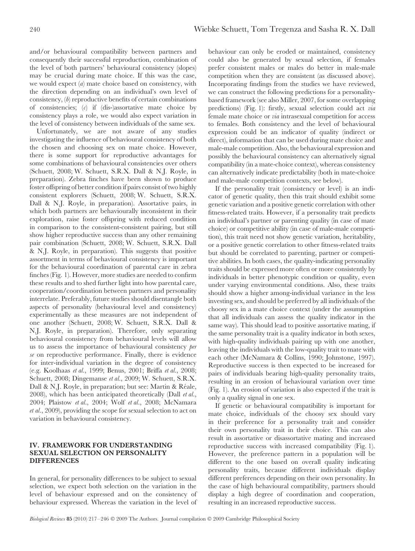and/or behavioural compatibility between partners and consequently their successful reproduction, combination of the level of both partners' behavioural consistency (slopes) may be crucial during mate choice. If this was the case, we would expect (*a*) mate choice based on consistency, with the direction depending on an individual's own level of consistency, (*b*) reproductive benefits of certain combinations of consistencies; (*c*) if (dis-)assortative mate choice by consistency plays a role, we would also expect variation in the level of consistency between individuals of the same sex.

Unfortunately, we are not aware of any studies investigating the influence of behavioural consistency of both the chosen and choosing sex on mate choice. However, there is some support for reproductive advantages for some combinations of behavioural consistencies over others (Schuett, 2008; W. Schuett, S.R.X. Dall & N.J. Royle, in preparation). Zebra finches have been shown to produce foster offspring of better condition if pairs consist of two highly consistent explorers (Schuett, 2008; W. Schuett, S.R.X. Dall & N.J. Royle, in preparation). Assortative pairs, in which both partners are behaviourally inconsistent in their exploration, raise foster offspring with reduced condition in comparison to the consistent-consistent pairing, but still show higher reproductive success than any other remaining pair combination (Schuett, 2008; W. Schuett, S.R.X. Dall & N.J. Royle, in preparation). This suggests that positive assortment in terms of behavioural consistency is important for the behavioural coordination of parental care in zebra finches (Fig. 1). However, more studies are needed to confirm these results and to shed further light into how parental care, cooperation/coordination between partners and personality interrelate. Preferably, future studies should disentangle both aspects of personality (behavioural level and consistency) experimentally as these measures are not independent of one another (Schuett, 2008; W. Schuett, S.R.X. Dall & N.J. Royle, in preparation). Therefore, only separating behavioural consistency from behavioural levels will allow us to assess the importance of behavioural consistency *per se* on reproductive performance. Finally, there is evidence for inter-individual variation in the degree of consistency (e.g. Koolhaas *et al*., 1999; Benus, 2001; Briffa *et al*., 2008; Schuett, 2008; Dingemanse *et al*., 2009; W. Schuett, S.R.X. Dall & N.J. Royle, in preparation; but see: Martin & Réale, 2008), which has been anticipated theoretically (Dall *et al*., 2004; Plaistow *et al*., 2004; Wolf *et al*., 2008; McNamara *et al*., 2009), providing the scope for sexual selection to act on variation in behavioural consistency.

## **IV. FRAMEWORK FOR UNDERSTANDING SEXUAL SELECTION ON PERSONALITY DIFFERENCES**

In general, for personality differences to be subject to sexual selection, we expect both selection on the variation in the level of behaviour expressed and on the consistency of behaviour expressed. Whereas the variation in the level of behaviour can only be eroded or maintained, consistency could also be generated by sexual selection, if females prefer consistent males or males do better in male-male competition when they are consistent (as discussed above). Incorporating findings from the studies we have reviewed, we can construct the following predictions for a personalitybased framework (see also Miller, 2007, for some overlapping predictions) (Fig. 1): firstly, sexual selection could act *via* female mate choice or *via* intrasexual competition for access to females. Both consistency and the level of behavioural expression could be an indicator of quality (indirect or direct), information that can be used during mate choice and male-male competition. Also, the behavioural expression and possibly the behavioural consistency can alternatively signal compatibility (in a mate-choice context), whereas consistency can alternatively indicate predictability (both in mate-choice and male-male competition contexts, see below).

If the personality trait (consistency or level) is an indicator of genetic quality, then this trait should exhibit some genetic variation and a positive genetic correlation with other fitness-related traits. However, if a personality trait predicts an individual's partner or parenting quality (in case of mate choice) or competitive ability (in case of male-male competition), this trait need not show genetic variation, heritability, or a positive genetic correlation to other fitness-related traits but should be correlated to parenting, partner or competitive abilities. In both cases, the quality-indicating personality traits should be expressed more often or more consistently by individuals in better phenotypic condition or quality, even under varying environmental conditions. Also, these traits should show a higher among-individual variance in the less investing sex, and should be preferred by all individuals of the choosy sex in a mate choice context (under the assumption that all individuals can assess the quality indicator in the same way). This should lead to positive assortative mating, if the same personality trait is a quality indicator in both sexes, with high-quality individuals pairing up with one another, leaving the individuals with the low-quality trait to mate with each other (McNamara & Collins, 1990; Johnstone, 1997). Reproductive success is then expected to be increased for pairs of individuals bearing high-quality personality traits, resulting in an erosion of behavioural variation over time (Fig. 1). An erosion of variation is also expected if the trait is only a quality signal in one sex.

If genetic or behavioural compatibility is important for mate choice, individuals of the choosy sex should vary in their preference for a personality trait and consider their own personality trait in their choice. This can also result in assortative or disassortative mating and increased reproductive success with increased compatibility (Fig. 1). However, the preference pattern in a population will be different to the one based on overall quality indicating personality traits, because different individuals display different preferences depending on their own personality. In the case of high behavioural compatibility, partners should display a high degree of coordination and cooperation, resulting in an increased reproductive success.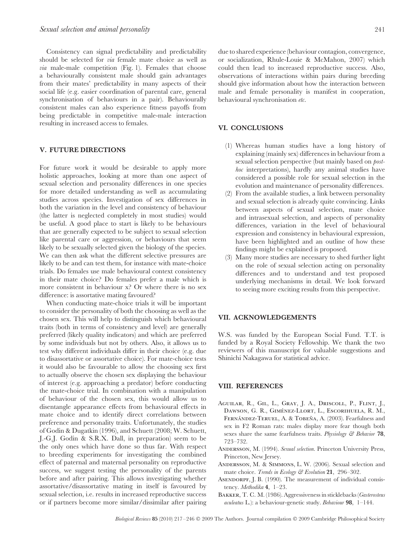Consistency can signal predictability and predictability should be selected for *via* female mate choice as well as *via* male-male competition (Fig. 1). Females that choose a behaviourally consistent male should gain advantages from their mates' predictability in many aspects of their social life (e.g. easier coordination of parental care, general synchronisation of behaviours in a pair). Behaviourally consistent males can also experience fitness payoffs from being predictable in competitive male-male interaction resulting in increased access to females.

## **V. FUTURE DIRECTIONS**

For future work it would be desirable to apply more holistic approaches, looking at more than one aspect of sexual selection and personality differences in one species for more detailed understanding as well as accumulating studies across species. Investigation of sex differences in both the variation in the level and consistency of behaviour (the latter is neglected completely in most studies) would be useful. A good place to start is likely to be behaviours that are generally expected to be subject to sexual selection like parental care or aggression, or behaviours that seem likely to be sexually selected given the biology of the species. We can then ask what the different selective pressures are likely to be and can test them, for instance with mate-choice trials. Do females use male behavioural context consistency in their mate choice? Do females prefer a male which is more consistent in behaviour x? Or where there is no sex difference: is assortative mating favoured?

When conducting mate-choice trials it will be important to consider the personality of both the choosing as well as the chosen sex. This will help to distinguish which behavioural traits (both in terms of consistency and level) are generally preferred (likely quality indicators) and which are preferred by some individuals but not by others. Also, it allows us to test why different individuals differ in their choice (e.g. due to disassortative or assortative choice). For mate-choice tests it would also be favourable to allow the choosing sex first to actually observe the chosen sex displaying the behaviour of interest (e.g. approaching a predator) before conducting the mate-choice trial. In combination with a manipulation of behaviour of the chosen sex, this would allow us to disentangle appearance effects from behavioural effects in mate choice and to identify direct correlations between preference and personality traits. Unfortunately, the studies of Godin & Dugatkin (1996), and Schuett (2008; W. Schuett, J.-G.J. Godin & S.R.X. Dall, in preparation) seem to be the only ones which have done so thus far. With respect to breeding experiments for investigating the combined effect of paternal and maternal personality on reproductive success, we suggest testing the personality of the parents before and after pairing. This allows investigating whether assortative/disassortative mating in itself is favoured by sexual selection, i.e. results in increased reproductive success or if partners become more similar/dissimilar after pairing

due to shared experience (behaviour contagion, convergence, or socialization, Rhule-Louie & McMahon, 2007) which could then lead to increased reproductive success. Also, observations of interactions within pairs during breeding should give information about how the interaction between male and female personality is manifest in cooperation, behavioural synchronisation *etc*.

#### **VI. CONCLUSIONS**

- (1) Whereas human studies have a long history of explaining (mainly sex) differences in behaviour from a sexual selection perspective (but mainly based on *posthoc* interpretations), hardly any animal studies have considered a possible role for sexual selection in the evolution and maintenance of personality differences.
- (2) From the available studies, a link between personality and sexual selection is already quite convincing. Links between aspects of sexual selection, mate choice and intrasexual selection, and aspects of personality differences, variation in the level of behavioural expression and consistency in behavioural expression, have been highlighted and an outline of how these findings might be explained is proposed.
- (3) Many more studies are necessary to shed further light on the role of sexual selection acting on personality differences and to understand and test proposed underlying mechanisms in detail. We look forward to seeing more exciting results from this perspective.

#### **VII. ACKNOWLEDGEMENTS**

W.S. was funded by the European Social Fund. T.T. is funded by a Royal Society Fellowship. We thank the two reviewers of this manuscript for valuable suggestions and Shinichi Nakagawa for statistical advice.

## **VIII. REFERENCES**

- Aguilar, R., Gil, L., Gray, J. A., Driscoll, P., Flint, J., DAWSON, G. R., GIMÉNEZ-LLORT, L., ESCORIHUELA, R. M., FERNÁNDEZ-TERUEL, A. & TOBEÑA, A. (2003). Fearfulness and sex in F2 Roman rats: males display more fear though both sexes share the same fearfulness traits. *Physiology & Behavior* **78**, 723–732.
- Andersson, M. (1994). *Sexual selection*. Princeton University Press, Princeton, New Jersey.
- Andersson, M. & Simmons, L. W. (2006). Sexual selection and mate choice. *Trends in Ecology & Evolution* **21**, 296–302.
- ASENDORPF, J. B. (1990). The measurement of individual consistency. *Methodika* **4**, 1–23.
- Bakker, T. C. M. (1986). Aggressiveness in sticklebacks (*Gasterosteus aculeatus* L.): a behaviour-genetic study. *Behaviour* **98**, 1–144.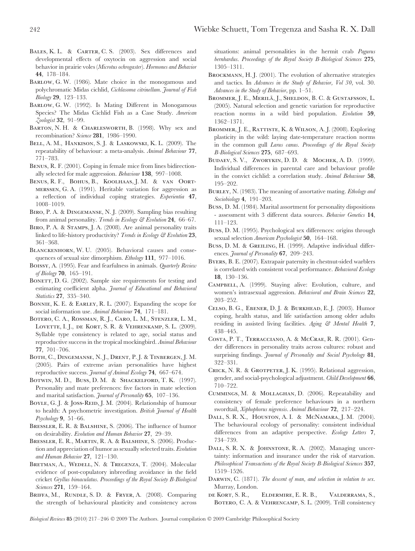- Bales, K. L. & Carter, C. S. (2003). Sex differences and developmental effects of oxytocin on aggression and social behavior in prairie voles (*Microtus ochrogaster*). *Hormones and Behavior* **44**, 178–184.
- Barlow, G. W. (1986). Mate choice in the monogamous and polychromatic Midas cichlid, *Cichlasoma citrinellum*. *Journal of Fish Biology* **29**, 123–133.
- Barlow, G. W. (1992). Is Mating Different in Monogamous Species? The Midas Cichlid Fish as a Case Study. *American Zoologist* **32**, 91–99.
- BARTON, N. H. & CHARLESWORTH, B. (1998). Why sex and recombination? *Science* **281**, 1986–1990.
- Bell, A. M., Hankison, S. J. & Laskowski, K. L. (2009). The repeatability of behaviour: a meta-analysis. *Animal Behaviour* **77**, 771–783.
- Benus, R. F. (2001). Coping in female mice from lines bidirectionally selected for male aggression. *Behaviour* **138**, 997–1008.
- Benus, R. F., Bohus, B., Koolhaas, J. M. & van Oortmerssen, G. A. (1991). Heritable variation for aggression as a reflection of individual coping strategies. *Experientia* **47**, 1008–1019.
- Biro, P. A. & Dingemanse, N. J. (2009). Sampling bias resulting from animal personality. *Trends in Ecology & Evolution* **24**, 66–67.
- BIRO, P. A. & STAMPS, J. A. (2008). Are animal personality traits linked to life-history productivity? *Trends in Ecology & Evolution* **23**, 361–368.
- BLANCKENHORN, W. U. (2005). Behavioral causes and consequences of sexual size dimorphism. *Ethology* **111**, 977–1016.
- Boissy, A. (1995). Fear and fearfulness in animals. *Quarterly Review of Biology* **70**, 165–191.
- BONETT, D. G. (2002). Sample size requirements for testing and estimating coefficient alpha. *Journal of Educational and Behavioral Statistics* **27**, 335–340.
- Bonnie, K. E. & Earley, R. L. (2007). Expanding the scope for social information use. *Animal Behaviour* **74**, 171–181.
- Botero, C. A., Rossman, R. J., Caro, L. M., Stenzler, L. M., LOVETTE, I. J., DE KORT, S. R. & VEHRENKAMP, S. L. (2009). Syllable type consistency is related to age, social status and reproductive success in the tropical mockingbird. *Animal Behaviour* **77**, 701–706.
- Both, C., Dingemanse, N. J., Drent, P. J. & Tinbergen, J. M. (2005). Pairs of extreme avian personalities have highest reproductive success. *Journal of Animal Ecology* **74**, 667–674.
- Botwin, M. D., Buss, D. M. & Shackelford, T. K. (1997). Personality and mate preferences: five factors in mate selection and marital satisfaction. *Journal of Personality* **65**, 107–136.
- BOYLE, G. J. & JOSS-REID, J. M. (2004). Relationship of humour to health: A psychometric investigation. *British Journal of Health Psychology* **9**, 51–66.
- Bressler, E. R. & Balshine, S. (2006). The influence of humor on desirability. *Evolution and Human Behavior* **27**, 29–39.
- Bressler, E. R., Martin, R. A. & Balshine, S. (2006). Production and appreciation of humor as sexually selected traits. *Evolution and Human Behavior* **27**, 121–130.
- BRETMAN, A., WEDELL, N. & TREGENZA, T. (2004). Molecular evidence of post-copulatory inbreeding avoidance in the field cricket *Gryllus bimaculatus*. *Proceedings of the Royal Society B-Biological Sciences* **271**, 159–164.
- Briffa, M., Rundle, S. D. & Fryer, A. (2008). Comparing the strength of behavioural plasticity and consistency across

situations: animal personalities in the hermit crab *Pagurus bernhardus*. *Proceedings of the Royal Society B-Biological Sciences* **275**, 1305–1311.

- BROCKMANN, H. J. (2001). The evolution of alternative strategies and tactics. In *Advances in the Study of Behavior, Vol 30*, vol. 30. *Advances in the Study of Behavior*, pp. 1–51.
- BROMMER, J. E., MERILÄ, J., SHELDON, B. C. & GUSTAFSSON, L. (2005). Natural selection and genetic variation for reproductive reaction norms in a wild bird population. *Evolution* **59**, 1362–1371.
- BROMMER, J. E., RATTISTE, K. & WILSON, A. J. (2008). Exploring plasticity in the wild: laying date-temperature reaction norms in the common gull *Larus canus*. *Proceedings of the Royal Society B-Biological Sciences* **275**, 687–693.
- Budaev, S. V., Zworykin, D. D. & Mochek, A. D. (1999). Individual differences in parental care and behaviour profile in the convict cichlid: a correlation study. *Animal Behaviour* **58**, 195–202.
- Burley, N. (1983). The meaning of assortative mating. *Ethology and Sociobiology* **4**, 191–203.
- Buss, D. M. (1984). Marital assortment for personality dispositions - assessment with 3 different data sources. *Behavior Genetics* **14**, 111–123.
- Buss, D. M. (1995). Psychological sex differences: origins through sexual selection *American Psychologist* **50**, 164–168.
- Buss, D. M. & GREILING, H. (1999). Adaptive individual differences. *Journal of Personality* **67**, 209–243.
- Byers, B. E. (2007). Extrapair paternity in chestnut-sided warblers is correlated with consistent vocal performance. *Behavioral Ecology* **18**, 130–136.
- Campbell, A. (1999). Staying alive: Evolution, culture, and women's intrasexual aggression. *Behavioral and Brain Sciences* **22**, 203–252.
- Celso, B. G., Ebener, D. J. & Burkhead, E. J. (2003). Humor coping, health status, and life satisfaction among older adults residing in assisted living facilities. *Aging & Mental Health* **7**, 438–445.
- Costa, P. T., Terracciano, A. & McCrae, R. R. (2001). Gender differences in personality traits across cultures: robust and surprising findings. *Journal of Personality and Social Psychology* **81**, 322–331.
- Crick, N. R. & Grotpeter, J. K. (1995). Relational aggression, gender, and social-psychological adjustment. *Child Development* **66**, 710–722.
- Cummings, M. & Mollaghan, D. (2006). Repeatability and consistency of female preference behaviours in a northern swordtail, *Xiphophorus nigrensis*. *Animal Behaviour* **72**, 217–224.
- Dall, S. R. X., Houston, A. I. & McNamara, J. M. (2004). The behavioural ecology of personality: consistent individual differences from an adaptive perspective. *Ecology Letters* **7**, 734–739.
- DALL, S. R. X. & JOHNSTONE, R. A. (2002). Managing uncertainty: information and insurance under the risk of starvation. *Philosophical Transactions of the Royal Society B-Biological Sciences* **357**, 1519–1526.
- Darwin, C. (1871). *The descent of man, and selection in relation to sex*. Murray, London.
- de Kort, S. R., Eldermire, E. R. B., Valderrama, S., BOTERO, C. A. & VEHRENCAMP, S. L. (2009). Trill consistency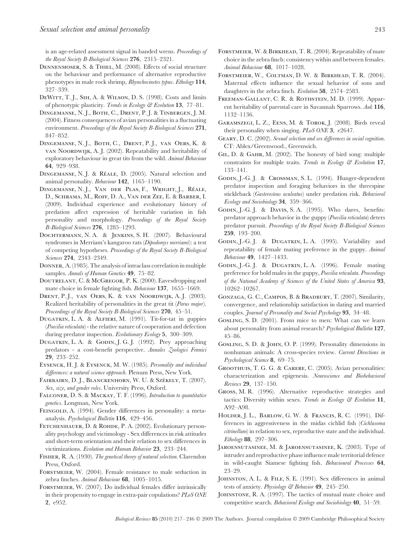is an age-related assessment signal in banded wrens. *Proceedings of the Royal Society B-Biological Sciences* **276**, 2315–2321.

- Dennenmoser, S. & Thiel, M. (2008). Effects of social structure on the behaviour and performance of alternative reproductive phenotypes in male rock shrimp, *Rhynchocinetes typus*. *Ethology* **114**, 327–339.
- DEWITT, T. J., SIH, A. & WILSON, D. S. (1998). Costs and limits of phenotypic plasticity. *Trends in Ecology & Evolution* **13**, 77–81.
- Dingemanse, N. J., Both, C., Drent, P. J. & Tinbergen, J. M. (2004). Fitness consequences of avian personalities in a fluctuating environment. *Proceedings of the Royal Society B-Biological Sciences* **271**, 847–852.
- Dingemanse, N. J., Both, C., Drent, P. J., van Oers, K. & van Noordwijk, A. J. (2002). Repeatability and heritability of exploratory behaviour in great tits from the wild. *Animal Behaviour* **64**, 929–938.
- DINGEMANSE, N. J. & RÉALE, D. (2005). Natural selection and animal personality. *Behaviour* **142**, 1165–1190.
- DINGEMANSE, N. J., VAN DER PLAS, F., WRIGHT, J., RÉALE, D., Schrama, M., Roff, D. A., Van der Zee, E. & Barber, I. (2009). Individual experience and evolutionary history of predation affect expression of heritable variation in fish personality and morphology. *Proceedings of the Royal Society B-Biological Sciences* **276**, 1285–1293.
- Dochtermann, N. A. & Jenkins, S. H. (2007). Behavioural syndromes in Merriam's kangaroo rats (*Dipodomys merriami*): a test of competing hypotheses. *Proceedings of the Royal Society B-Biological Sciences* **274**, 2343–2349.
- Donner, A. (1985). The analysis of intraclass correlation in multiple samples. *Annals of Human Genetics* **49**, 75–82.
- Doutrelant, C. & McGregor, P. K. (2000). Eavesdropping and mate choice in female fighting fish. *Behaviour* **137**, 1655–1669.
- Drent, P. J., van Oers, K. & van Noordwijk, A. J. (2003). Realized heritability of personalities in the great tit (*Parus major*). *Proceedings of the Royal Society B-Biological Sciences* **270**, 45–51.
- Dugatkin, L. A. & Alfieri, M. (1991). Tit-for-tat in guppies (*Poecilia reticulata*) - the relative nature of cooperation and defection during predator inspection. *Evolutionary Ecology* **5**, 300–309.
- DUGATKIN, L. A. & GODIN, J. G. J. (1992). Prey approaching predators - a cost-benefit perspective. *Annales Zoologici Fennici* **29**, 233–252.
- Eysenck, H. J. & Eysenck, M. W. (1985). *Personality and individual differences: a natural science approach*. Plenum Press, New York.
- FAIRBAIRN, D. J., BLANCKENHORN, W. U. & SZÉKELY, T. (2007). *Sex, size, and gender roles*. University Press, Oxford.
- Falconer, D. S. & Mackay, T. F. (1996). *Introduction to quantitative genetics*. Longman, New York.
- FEINGOLD, A. (1994). Gender differences in personality: a metaanalysis. *Psychological Bulletin* **116**, 429–456.
- FETCHENHAUER, D. & ROHDE, P. A. (2002). Evolutionary personality psychology and victimology - Sex differences in risk attitudes and short-term orientation and their relation to sex differences in victimizations. *Evolution and Human Behavior* **23**, 233–244.
- Fisher, R. A. (1930). *The genetical theory of natural selection.* Clarendon Press, Oxford.
- FORSTMEIER, W. (2004). Female resistance to male seduction in zebra finches. *Animal Behaviour* **68**, 1005–1015.
- Forstmeier, W. (2007). Do individual females differ intrinsically in their propensity to engage in extra-pair copulations? *PLoS ONE* **2**, e952.
- FORSTMEIER, W. & BIRKHEAD, T. R. (2004). Repeatability of mate choice in the zebra finch: consistency within and between females. *Animal Behaviour* **68**, 1017–1028.
- FORSTMEIER, W., COLTMAN, D. W. & BIRKHEAD, T. R. (2004). Maternal effects influence the sexual behavior of sons and daughters in the zebra finch. *Evolution* **58**, 2574–2583.
- FREEMAN-GALLANT, C. R. & ROTHSTEIN, M. D. (1999). Apparent heritability of parental care in Savannah Sparrows. *Auk* **116**, 1132–1136.
- Garamszegi, L. Z., Eens, M. & Torok, J. (2008). Birds reveal their personality when singing. *PLoS ONE* **3**, e2647.
- Geary, D. C. (2002). *Sexual selection and sex differences in social cognition*. CT: Ablex/Greenwood., Greenwich.
- Gil, D. & Gahr, M. (2002). The honesty of bird song: multiple constraints for multiple traits. *Trends in Ecology & Evolution* **17**, 133–141.
- Godin, J.-G. J. & Crossman, S. L. (1994). Hunger-dependent predator inspection and foraging behaviors in the threespine stickleback (*Gasterosteus aculeatus*) under predation risk. *Behavioral Ecology and Sociobiology* **34**, 359–366.
- Godin, J.-G. J. & Davis, S. A. (1995). Who dares, benefits: predator approach behavior in the guppy (*Poecilia reticulata*) deters predator pursuit. *Proceedings of the Royal Society B-Biological Sciences* **259**, 193–200.
- GODIN, J.-G. J. & DUGATKIN, L. A. (1995). Variability and repeatability of female mating preference in the guppy. *Animal Behaviour* **49**, 1427–1433.
- GODIN, J.-G. J. & DUGATKIN, L. A. (1996). Female mating preference for bold males in the guppy, *Poecilia reticulata*. *Proceedings of the National Academy of Sciences of the United States of America* **93**, 10262–10267.
- Gonzaga, G. C., Campos, B. & Bradbury, T. (2007). Similarity, convergence, and relationship satisfaction in dating and married couples. *Journal of Personality and Social Psychology* **93**, 34–48.
- Gosling, S. D. (2001). From mice to men: What can we learn about personality from animal research? *Psychological Bulletin* **127**, 45–86.
- Gosling, S. D. & John, O. P. (1999). Personality dimensions in nonhuman animals: A cross-species review. *Current Directions in Psychological Science* **8**, 69–75.
- Groothuis, T. G. G. & Carere, C. (2005). Avian personalities: characterization and epigenesis. *Neuroscience and Biobehavioral Reviews* **29**, 137–150.
- Gross, M. R. (1996). Alternative reproductive strategies and tactics: Diversity within sexes. *Trends in Ecology & Evolution* **11**, A92–A98.
- Holder, J. L., Barlow, G. W. & Francis, R. C. (1991). Differences in aggressiveness in the midas cichlid fish (*Cichlasoma citrinellum*) in relation to sex, reproductive state and the individual. *Ethology* **88**, 297–306.
- Jaroensutasinee, M. & Jaroensutasinee, K. (2003). Type of intruder and reproductive phase influence male territorial defence in wild-caught Siamese fighting fish. *Behavioural Processes* **64**, 23–29.
- Johnston, A. L. & File, S. E. (1991). Sex differences in animal tests of anxiety. *Physiology & Behavior* **49**, 245–250.
- JOHNSTONE, R. A. (1997). The tactics of mutual mate choice and competitive search. *Behavioral Ecology and Sociobiology* **40**, 51–59.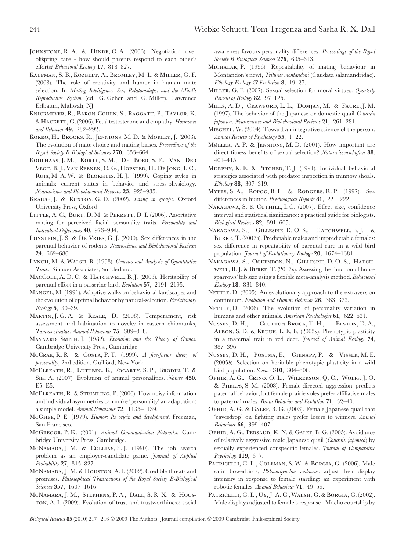- JOHNSTONE, R. A. & HINDE, C. A. (2006). Negotiation over offspring care - how should parents respond to each other's efforts? *Behavioral Ecology* **17**, 818–827.
- Kaufman, S. B., Kozbelt, A., Bromley, M. L. & Miller, G. F. (2008). The role of creativity and humor in human mate selection. In *Mating Intelligence: Sex, Relationships, and the Mind's Reproductive System* (ed. G. Geher and G. Miller). Lawrence Erlbaum, Mahwah, NJ.
- Knickmeyer, R., Baron-Cohen, S., Raggatt, P., Taylor, K. & Hackett, G. (2006). Fetal testosterone and empathy. *Hormones and Behavior* **49**, 282–292.
- Kokko, H., Brooks, R., Jennions, M. D. & Morley, J. (2003). The evolution of mate choice and mating biases. *Proceedings of the Royal Society B-Biological Sciences* **270**, 653–664.
- Koolhaas, J. M., Korte, S. M., De Boer, S. F., Van Der Vegt, B. J., Van Reenen, C. G., Hopster, H., De Jong, I. C., Ruis, M. A. W. & Blokhuis, H. J. (1999). Coping styles in animals: current status in behavior and stress-physiology. *Neuroscience and Biobehavioral Reviews* **23**, 925–935.
- Krause, J. & Ruxton, G. D. (2002). *Living in groups*. Oxford University Press, Oxford.
- LITTLE, A. C., BURT, D. M. & PERRETT, D. I. (2006). Assortative mating for perceived facial personality traits. *Personality and Individual Differences* **40**, 973–984.
- Lonstein, J. S. & De Vries, G. J. (2000). Sex differences in the parental behavior of rodents. *Neuroscience and Biobehavioral Reviews* **24**, 669–686.
- LYNCH, M. & WALSH, B. (1998). *Genetics and Analysis of Quantitative Traits*. Sinauer Associates, Sunderland.
- MACCOLL, A. D. C. & HATCHWELL, B. J. (2003). Heritability of parental effort in a passerine bird. *Evolution* **57**, 2191–2195.
- MANGEL, M. (1991). Adaptive walks on behavioral landscapes and the evolution of optimal behavior by natural-selection. *Evolutionary Ecology* **5**, 30–39.
- MARTIN, J. G. A. & RÉALE, D. (2008). Temperament, risk assessment and habituation to novelty in eastern chipmunks, *Tamias striatus*. *Animal Behaviour* **75**, 309–318.
- Maynard Smith, J. (1982). *Evolution and the Theory of Games*. Cambridge University Press, Cambridge.
- McCrae, R. R. & Costa, P. T. (1999). *A five-factor theory of personality*, 2nd edition. Guilford, New York.
- McElreath, R., Luttbeg, B., Fogarty, S. P., Brodin, T. & Sih, A. (2007). Evolution of animal personalities. *Nature* **450**, E5–E5.
- McElreath, R. & Strimling, P. (2006). How noisy information and individual asymmetries can make 'personality' an adaptation: a simple model. *Animal Behaviour* **72**, 1135–1139.
- McGhee, P. E. (1979). *Humor: Its origin and development*. Freeman, San Francisco.
- McGregor, P. K. (2001). *Animal Communication Networks*. Cambridge University Press, Cambridge.
- McNamara, J. M. & Collins, E. J. (1990). The job search problem as an employer-candidate game. *Journal of Applied Probability* **27**, 815–827.
- McNamara, J. M. & Houston, A. I. (2002). Credible threats and promises. *Philosophical Transactions of the Royal Society B-Biological Sciences* **357**, 1607–1616.
- McNamara, J. M., Stephens, P. A., Dall, S. R. X. & Houston, A. I. (2009). Evolution of trust and trustworthiness: social

awareness favours personality differences. *Proceedings of the Royal Society B-Biological Sciences* **276**, 605–613.

- Michalak, P. (1996). Repeatability of mating behaviour in Montandon's newt, *Triturus montandoni* (Caudata salamandridae). *Ethology Ecology & Evolution* **8**, 19–27.
- Miller, G. F. (2007). Sexual selection for moral virtues. *Quarterly Review of Biology* **82**, 97–125.
- Mills, A. D., Crawford, L. L., Domjan, M. & Faure, J. M. (1997). The behavior of the Japanese or domestic quail *Coturnix japonica*. *Neuroscience and Biobehavioral Reviews* **21**, 261–281.
- MISCHEL, W. (2004). Toward an integrative science of the person. *Annual Review of Psychology* **55**, 1–22.
- Møller, A. P. & Jennions, M. D. (2001). How important are direct fitness benefits of sexual selection? *Naturwissenschaften* **88**, 401–415.
- Murphy, K. E. & Pitcher, T. J. (1991). Individual behavioral strategies associated with predator inspection in minnow shoals. *Ethology* **88**, 307–319.
- Myers, S. A., Ropog, B. L. & Rodgers, R. P. (1997). Sex differences in humor. *Psychological Reports* **81**, 221–222.
- NAKAGAWA, S. & CUTHILL, I. C. (2007). Effect size, confidence interval and statistical significance: a practical guide for biologists. *Biological Reviews* **82**, 591–605.
- Nakagawa, S., Gillespie, D. O. S., Hatchwell, B. J. & Burke, T. (2007*a*). Predictable males and unpredictable females: sex difference in repeatability of parental care in a wild bird population. *Journal of Evolutionary Biology* **20**, 1674–1681.
- Nakagawa, S., Ockendon, N., Gillespie, D. O. S., Hatchwell, B. J. & Burke, T. (2007*b*). Assessing the function of house sparrows' bib size using a flexible meta-analysis method. *Behavioral Ecology* **18**, 831–840.
- NETTLE. D. (2005). An evolutionary approach to the extraversion continuum. *Evolution and Human Behavior* **26**, 363–373.
- NETTLE, D. (2006). The evolution of personality variation in humans and other animals. *American Psychologist* **61**, 622–631.
- NUSSEY, D. H., CLUTTON-BROCK, T. H., ELSTON, D. A., Albon, S. D. & Kruuk, L. E. B. (2005*a*). Phenotypic plasticity in a maternal trait in red deer. *Journal of Animal Ecology* **74**, 387–396.
- Nussey, D. H., Postma, E., Gienapp, P. & Visser, M. E. (2005*b*). Selection on heritable phenotypic plasticity in a wild bird population. *Science* **310**, 304–306.
- Ophir, A. G., Crino, O. L., Wilkerson, Q. C., Wolff, J. O. & Phelps, S. M. (2008). Female-directed aggression predicts paternal behavior, but female prairie voles prefer affiliative males to paternal males. *Brain Behavior and Evolution* **71**, 32–40.
- Ophir, A. G. & Galef, B. G. (2003). Female Japanese quail that 'eavesdrop' on fighting males prefer losers to winners. *Animal Behaviour* **66**, 399–407.
- Ophir, A. G., Persaud, K. N. & Galef, B. G. (2005). Avoidance of relatively aggressive male Japanese quail (*Coturnix japonica*) by sexually experienced conspecific females. *Journal of Comparative Psychology* **119**, 3–7.
- Patricelli, G. L., Coleman, S. W. & Borgia, G. (2006). Male satin bowerbirds, *Ptilonorhynchus violaceus*, adjust their display intensity in response to female startling: an experiment with robotic females. *Animal Behaviour* **71**, 49–59.
- Patricelli, G. L., Uy, J. A. C., Walsh, G. & Borgia, G. (2002). Male displays adjusted to female's response - Macho courtship by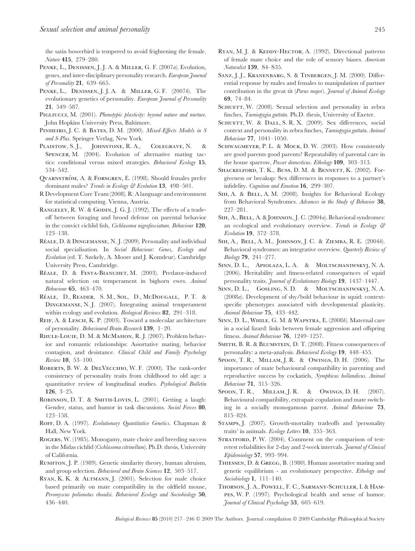the satin bowerbird is tempered to avoid frightening the female. *Nature* **415**, 279–280.

- Penke, L., Denissen, J. J. A. & Miller, G. F. (2007*a*). Evolution, genes, and inter-disciplinary personality research. *European Journal of Personality* **21**, 639–665.
- Penke, L., Denissen, J. J. A. & Miller, G. F. (2007*b*). The evolutionary genetics of personality. *European Journal of Personality* **21**, 549–587.
- PIGLIUCCI, M. (2001). *Phenotypic plasticity: beyond nature and nurture*. John Hopkins University Press, Baltimore.
- Pinheiro, J. C. & Bates, D. M. (2000). *Mixed-Effects Models in S and S-Plus*. Springer Verlag, New York.
- PLAISTOW, S. J., JOHNSTONE, R. A., COLEGRAVE, N. & SPENCER, M. (2004). Evolution of alternative mating tactics: conditional versus mixed strategies. *Behavioral Ecology* **15**, 534–542.
- QVARNSTRÖM, A. & FORSGREN, E. (1998). Should females prefer dominant males? *Trends in Ecology & Evolution* **13**, 498–501.
- R Development Core Team (2008). R: A language and environment for statistical computing. Vienna, Austria.
- RANGELEY, R. W. & GODIN, J. G. J. (1992). The effects of a tradeoff between foraging and brood defense on parental behavior in the convict cichlid fish, *Cichlasoma nigrofasciatum*. *Behaviour* **120**, 123–138.
- RÉALE, D. & DINGEMANSE, N. J. (2009). Personality and individual social specialisation. In *Social Behaviour: Genes, Ecology and Evolution* (ed. T. Szekely, A. Moore and J. Komdeur). Cambridge University Press, Cambridge.
- RÉALE, D. & FESTA-BIANCHET, M. (2003). Predator-induced natural selection on temperament in bighorn ewes. *Animal Behaviour* **65**, 463–470.
- RÉALE, D., READER, S. M., Sol, D., McDOUGALL, P. T. & Dingemanse, N. J. (2007). Integrating animal temperament within ecology and evolution. *Biological Reviews* **82**, 291–318.
- REIF, A. & LESCH, K. P. (2003). Toward a molecular architecture of personality. *Behavioural Brain Research* **139**, 1–20.
- Rhule-Louie, D. M. & McMahon, R. J. (2007). Problem behavior and romantic relationships: Assortative mating, behavior contagion, and desistance. *Clinical Child and Family Psychology Review* **10**, 53–100.
- ROBERTS, B. W. & DELVECCHIO, W. F. (2000). The rank-order consistency of personality traits from childhood to old age: a quantitative review of longitudinal studies. *Psyhological Bulletin* **126**, 3–25.
- Robinson, D. T. & Smith-Lovin, L. (2001). Getting a laugh: Gender, status, and humor in task discussions. *Social Forces* **80**, 123–158.
- Roff, D. A. (1997). *Evolutionary Quantitative Genetics*. Chapman & Hall, New York.
- Rogers, W. (1985). Monogamy, mate choice and breeding success in the Midas cichlid (*Cichlasoma citrinellum*). Ph.D. thesis, University of California.
- Rushton, J. P. (1989). Genetic similarity theory, human altruism, and group selection. *Behavioral and Brain Sciences* **12**, 503–517.
- Ryan, K. K. & Altmann, J. (2001). Selection for male choice based primarily on mate compatibility in the oldfield mouse, *Peromyscus polionotus rhoadsi*. *Behavioral Ecology and Sociobiology* **50**, 436–440.
- RYAN, M. J. & KEDDY-HECTOR, A. (1992). Directional patterns of female mate choice and the role of sensory biases. *American Naturalist* **139**, S4–S35.
- Sanz, J. J., Kranenbarg, S. & Tinbergen, J. M. (2000). Differential response by males and females to manipulation of partner contribution in the great tit (*Parus major*). *Journal of Animal Ecology* **69**, 74–84.
- SCHUETT, W. (2008). Sexual selection and personality in zebra finches, *Taeniopygia guttata*. Ph.D. thesis, University of Exeter.
- SCHUETT, W. & DALL, S. R. X. (2009). Sex differences, social context and personality in zebra finches, *Taeniopygia guttata*. *Animal Behaviour* **77**, 1041–1050.
- SCHWAGMEYER, P. L. & MOCK, D. W. (2003). How consistently are good parents good parents? Repeatability of parental care in the house sparrow, *Passer domesticus*. *Ethology* **109**, 303–313.
- SHACKELFORD, T. K., BUSS, D. M. & BENNETT, K. (2002). Forgiveness or breakup: Sex differences in responses to a partner's infidelity. *Cognition and Emotion* **16**, 299–307.
- SIH, A. & BELL, A. M. (2008). Insights for Behavioral Ecology from Behavioral Syndromes. *Advances in the Study of Behavior* **38**, 227–281.
- SIH, A., BELL, A. & JOHNSON, J. C. (2004*a*). Behavioral syndromes: an ecological and evolutionary overview. *Trends in Ecology & Evolution* **19**, 372–378.
- Sih, A., Bell, A. M., Johnson, J. C. & Ziemba, R. E. (2004*b*). Behavioral syndromes: an integrative overview. *Quarterly Review of Biology* **79**, 241–277.
- Sinn, D. L., Apiolaza, L. A. & Moltschaniwskyj, N. A. (2006). Heritability and fitness-related consequences of squid personality traits. *Journal of Evolutionary Biology* **19**, 1437–1447.
- Sinn, D. L., Gosling, S. D. & Moltschaniwskyj, N. A. (2008*a*). Development of shy/bold behaviour in squid: contextspecific phenotypes associated with developmental plasticity. *Animal Behaviour* **75**, 433–442.
- Sinn, D. L., While, G. M. & Wapstra, E. (2008*b*). Maternal care in a social lizard: links between female aggression and offspring fitness. *Animal Behaviour* **76**, 1249–1257.
- Smith, B. R. & Blumstein, D. T. (2008). Fitness consequences of personality: a meta-analysis. *Behavioral Ecology* **19**, 448–455.
- Spoon, T. R., Millam, J. R. & Owings, D. H. (2006). The importance of mate behavioural compatibility in parenting and reproductive success by cockatiels, *Nymphicus hollandicus*. *Animal Behaviour* **71**, 315–326.
- Spoon, T. R., Millam, J. R. & Owings, D. H. (2007). Behavioural compatibility, extrapair copulation and mate switching in a socially monogamous parrot. *Animal Behaviour* **73**, 815–824.
- Stamps, J. (2007). Growth-mortality tradeoffs and 'personality traits' in animals. *Ecology Letters* **10**, 355–363.
- STRATFORD, P. W. (2004). Comment on the comparison of testretest reliabilities for 2-day and 2-week intervals. *Journal of Clinical Epidemiology* **57**, 993–994.
- Thiessen, D. & Gregg, B. (1980). Human assortative mating and genetic equilibrium - an evolutionary perspective. *Ethology and Sociobiology* **1**, 111–140.
- Thorson, J. A., Powell, F. C., Sarmany-Schuller, I. & Hampes, W. P. (1997). Psychological health and sense of humor. *Journal of Clinical Psychology* **53**, 605–619.